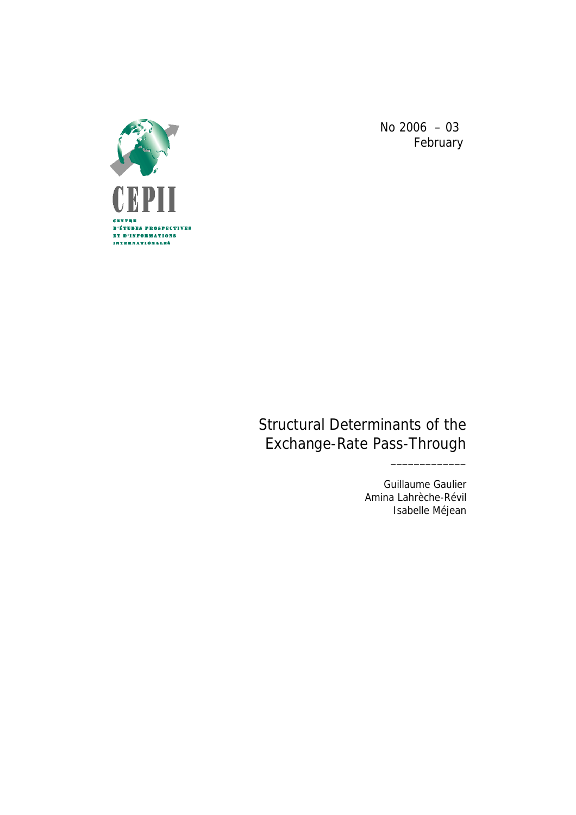

No 2006 – 03 February

# Structural Determinants of the Exchange-Rate Pass-Through

Guillaume Gaulier Amina Lahrèche-Révil Isabelle Méjean

\_\_\_\_\_\_\_\_\_\_\_\_\_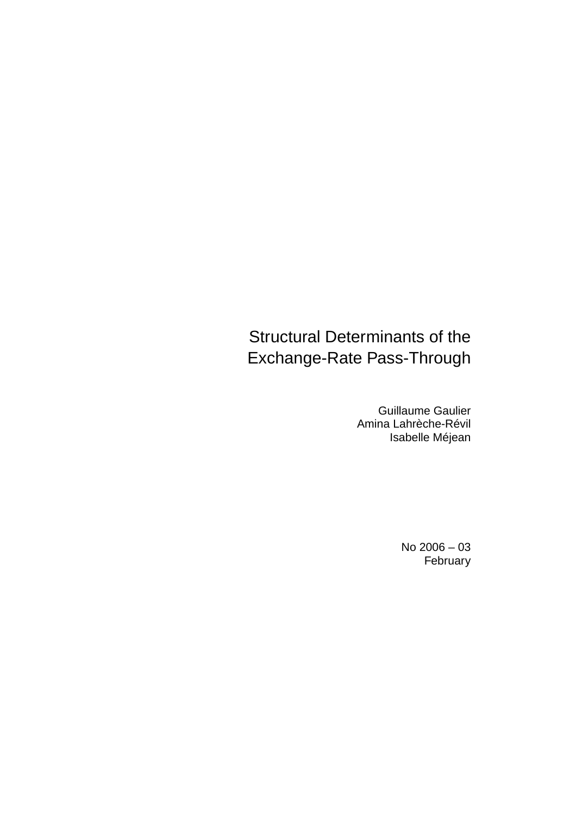# Structural Determinants of the Exchange-Rate Pass-Through

Guillaume Gaulier Amina Lahrèche-Révil Isabelle Méjean

> No 2006 – 03 February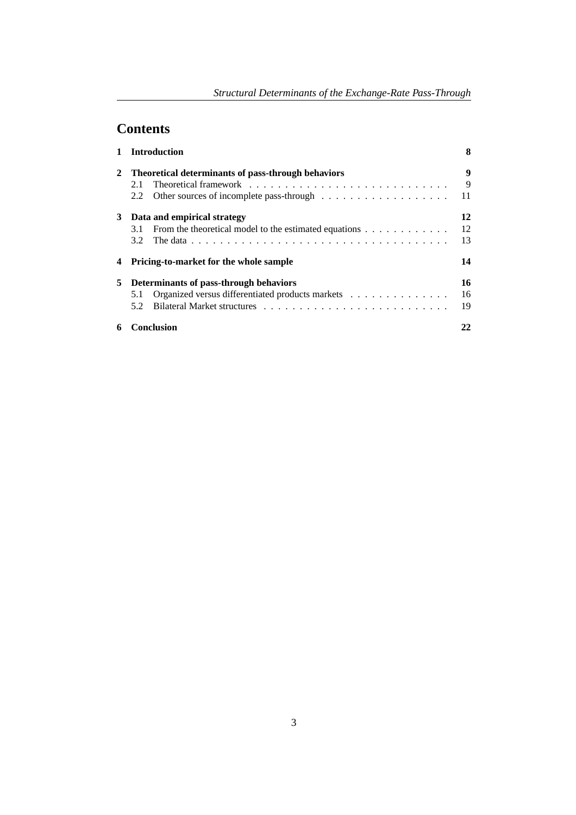# **Contents**

|   | <b>Introduction</b>                                                                         | 8  |
|---|---------------------------------------------------------------------------------------------|----|
| 2 | Theoretical determinants of pass-through behaviors                                          | 9  |
|   | 2.1                                                                                         | 9  |
|   | Other sources of incomplete pass-through $\dots \dots \dots \dots \dots \dots \dots$<br>2.2 | 11 |
| 3 | Data and empirical strategy                                                                 | 12 |
|   | From the theoretical model to the estimated equations<br>3.1                                | 12 |
|   | 3.2                                                                                         | 13 |
| 4 | <b>Pricing-to-market for the whole sample</b>                                               | 14 |
| 5 | Determinants of pass-through behaviors                                                      | 16 |
|   | Organized versus differentiated products markets<br>5.1                                     | 16 |
|   | 5.2                                                                                         | 19 |
| 6 | Conclusion                                                                                  | 22 |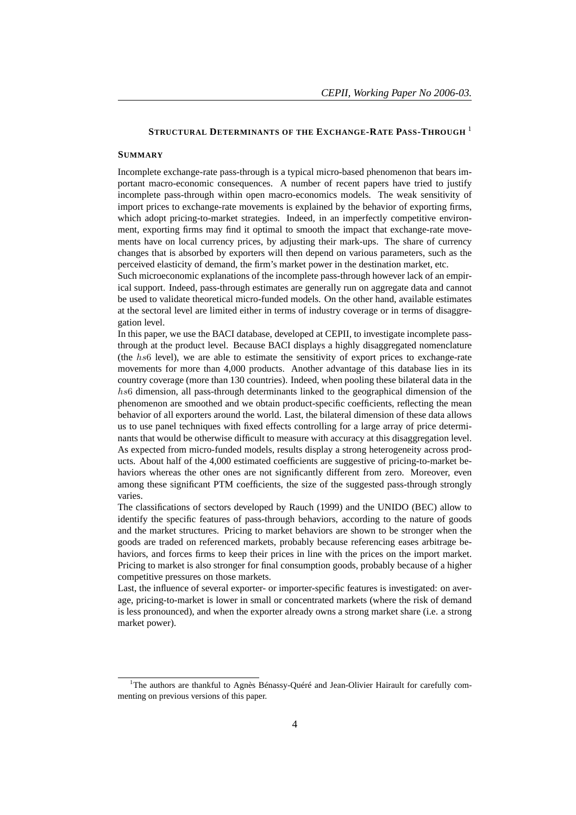## **STRUCTURAL DETERMINANTS OF THE EXCHANGE-RATE PASS-THROUGH** <sup>1</sup>

#### **SUMMARY**

Incomplete exchange-rate pass-through is a typical micro-based phenomenon that bears important macro-economic consequences. A number of recent papers have tried to justify incomplete pass-through within open macro-economics models. The weak sensitivity of import prices to exchange-rate movements is explained by the behavior of exporting firms, which adopt pricing-to-market strategies. Indeed, in an imperfectly competitive environment, exporting firms may find it optimal to smooth the impact that exchange-rate movements have on local currency prices, by adjusting their mark-ups. The share of currency changes that is absorbed by exporters will then depend on various parameters, such as the perceived elasticity of demand, the firm's market power in the destination market, etc.

Such microeconomic explanations of the incomplete pass-through however lack of an empirical support. Indeed, pass-through estimates are generally run on aggregate data and cannot be used to validate theoretical micro-funded models. On the other hand, available estimates at the sectoral level are limited either in terms of industry coverage or in terms of disaggregation level.

In this paper, we use the BACI database, developed at CEPII, to investigate incomplete passthrough at the product level. Because BACI displays a highly disaggregated nomenclature (the hs6 level), we are able to estimate the sensitivity of export prices to exchange-rate movements for more than 4,000 products. Another advantage of this database lies in its country coverage (more than 130 countries). Indeed, when pooling these bilateral data in the hs6 dimension, all pass-through determinants linked to the geographical dimension of the phenomenon are smoothed and we obtain product-specific coefficients, reflecting the mean behavior of all exporters around the world. Last, the bilateral dimension of these data allows us to use panel techniques with fixed effects controlling for a large array of price determinants that would be otherwise difficult to measure with accuracy at this disaggregation level. As expected from micro-funded models, results display a strong heterogeneity across products. About half of the 4,000 estimated coefficients are suggestive of pricing-to-market behaviors whereas the other ones are not significantly different from zero. Moreover, even among these significant PTM coefficients, the size of the suggested pass-through strongly varies.

The classifications of sectors developed by Rauch (1999) and the UNIDO (BEC) allow to identify the specific features of pass-through behaviors, according to the nature of goods and the market structures. Pricing to market behaviors are shown to be stronger when the goods are traded on referenced markets, probably because referencing eases arbitrage behaviors, and forces firms to keep their prices in line with the prices on the import market. Pricing to market is also stronger for final consumption goods, probably because of a higher competitive pressures on those markets.

Last, the influence of several exporter- or importer-specific features is investigated: on average, pricing-to-market is lower in small or concentrated markets (where the risk of demand is less pronounced), and when the exporter already owns a strong market share (i.e. a strong market power).

 $1$ <sup>1</sup>The authors are thankful to Agnès Bénassy-Ouéré and Jean-Olivier Hairault for carefully commenting on previous versions of this paper.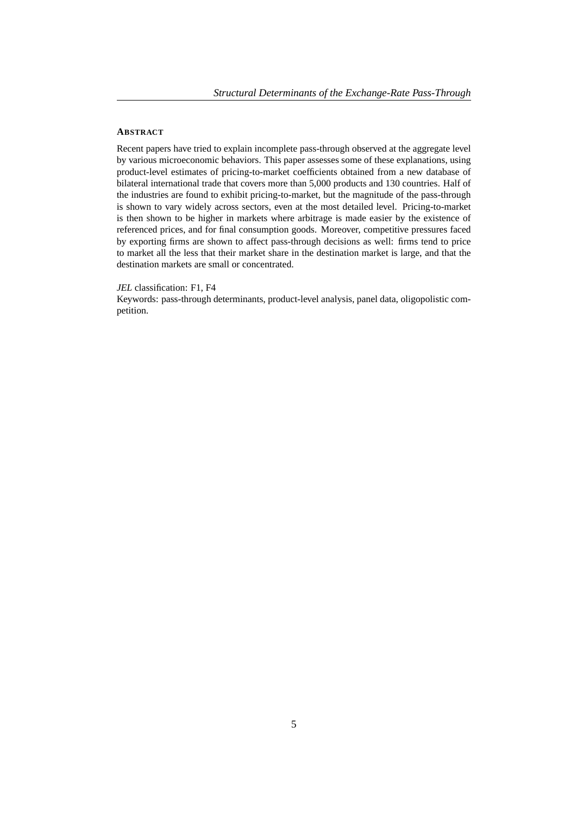## **ABSTRACT**

Recent papers have tried to explain incomplete pass-through observed at the aggregate level by various microeconomic behaviors. This paper assesses some of these explanations, using product-level estimates of pricing-to-market coefficients obtained from a new database of bilateral international trade that covers more than 5,000 products and 130 countries. Half of the industries are found to exhibit pricing-to-market, but the magnitude of the pass-through is shown to vary widely across sectors, even at the most detailed level. Pricing-to-market is then shown to be higher in markets where arbitrage is made easier by the existence of referenced prices, and for final consumption goods. Moreover, competitive pressures faced by exporting firms are shown to affect pass-through decisions as well: firms tend to price to market all the less that their market share in the destination market is large, and that the destination markets are small or concentrated.

#### *JEL* classification: F1, F4

Keywords: pass-through determinants, product-level analysis, panel data, oligopolistic competition.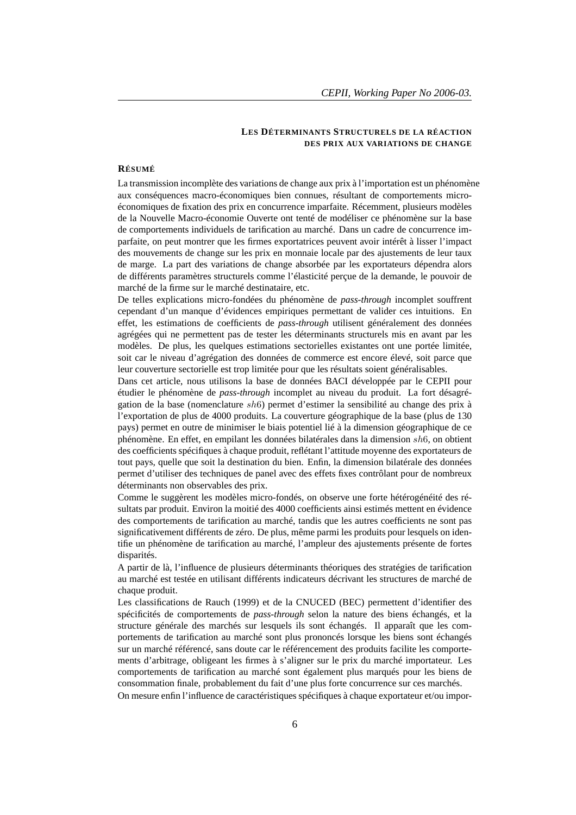### **LES DÉTERMINANTS STRUCTURELS DE LA RÉACTION DES PRIX AUX VARIATIONS DE CHANGE**

#### **RÉSUMÉ**

La transmission incomplète des variations de change aux prix à l'importation est un phénomène aux conséquences macro-économiques bien connues, résultant de comportements microéconomiques de fixation des prix en concurrence imparfaite. Récemment, plusieurs modèles de la Nouvelle Macro-économie Ouverte ont tenté de modéliser ce phénomène sur la base de comportements individuels de tarification au marché. Dans un cadre de concurrence imparfaite, on peut montrer que les firmes exportatrices peuvent avoir intérêt à lisser l'impact des mouvements de change sur les prix en monnaie locale par des ajustements de leur taux de marge. La part des variations de change absorbée par les exportateurs dépendra alors de différents paramètres structurels comme l'élasticité perçue de la demande, le pouvoir de marché de la firme sur le marché destinataire, etc.

De telles explications micro-fondées du phénomène de *pass-through* incomplet souffrent cependant d'un manque d'évidences empiriques permettant de valider ces intuitions. En effet, les estimations de coefficients de *pass-through* utilisent généralement des données agrégées qui ne permettent pas de tester les déterminants structurels mis en avant par les modèles. De plus, les quelques estimations sectorielles existantes ont une portée limitée, soit car le niveau d'agrégation des données de commerce est encore élevé, soit parce que leur couverture sectorielle est trop limitée pour que les résultats soient généralisables.

Dans cet article, nous utilisons la base de données BACI développée par le CEPII pour étudier le phénomène de *pass-through* incomplet au niveau du produit. La fort désagrégation de la base (nomenclature sh6) permet d'estimer la sensibilité au change des prix à l'exportation de plus de 4000 produits. La couverture géographique de la base (plus de 130 pays) permet en outre de minimiser le biais potentiel lié à la dimension géographique de ce phénomène. En effet, en empilant les données bilatérales dans la dimension sh6, on obtient des coefficients spécifiques à chaque produit, reflétant l'attitude moyenne des exportateurs de tout pays, quelle que soit la destination du bien. Enfin, la dimension bilatérale des données permet d'utiliser des techniques de panel avec des effets fixes contrôlant pour de nombreux déterminants non observables des prix.

Comme le suggèrent les modèles micro-fondés, on observe une forte hétérogénéité des résultats par produit. Environ la moitié des 4000 coefficients ainsi estimés mettent en évidence des comportements de tarification au marché, tandis que les autres coefficients ne sont pas significativement différents de zéro. De plus, même parmi les produits pour lesquels on identifie un phénomène de tarification au marché, l'ampleur des ajustements présente de fortes disparités.

A partir de là, l'influence de plusieurs déterminants théoriques des stratégies de tarification au marché est testée en utilisant différents indicateurs décrivant les structures de marché de chaque produit.

Les classifications de Rauch (1999) et de la CNUCED (BEC) permettent d'identifier des spécificités de comportements de *pass-through* selon la nature des biens échangés, et la structure générale des marchés sur lesquels ils sont échangés. Il apparaît que les comportements de tarification au marché sont plus prononcés lorsque les biens sont échangés sur un marché référencé, sans doute car le référencement des produits facilite les comportements d'arbitrage, obligeant les firmes à s'aligner sur le prix du marché importateur. Les comportements de tarification au marché sont également plus marqués pour les biens de consommation finale, probablement du fait d'une plus forte concurrence sur ces marchés. On mesure enfin l'influence de caractéristiques spécifiques à chaque exportateur et/ou impor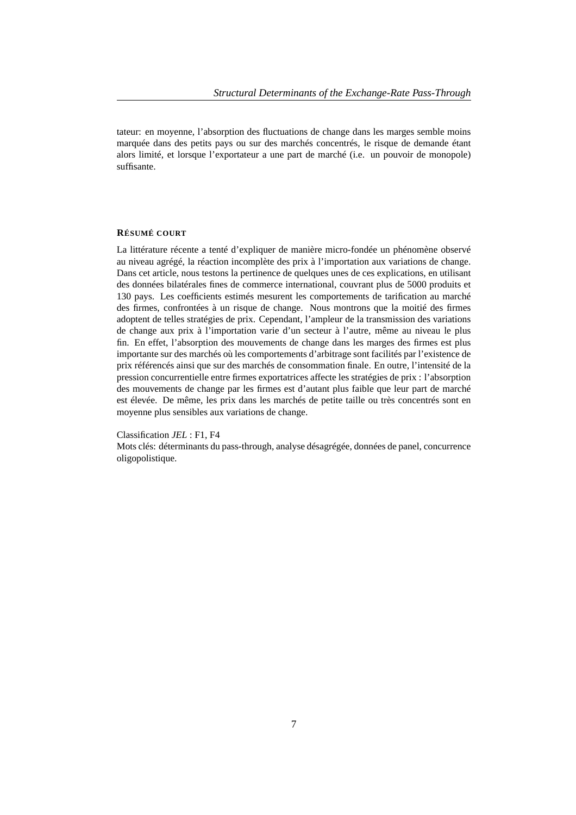tateur: en moyenne, l'absorption des fluctuations de change dans les marges semble moins marquée dans des petits pays ou sur des marchés concentrés, le risque de demande étant alors limité, et lorsque l'exportateur a une part de marché (i.e. un pouvoir de monopole) suffisante.

### **RÉSUMÉ COURT**

La littérature récente a tenté d'expliquer de manière micro-fondée un phénomène observé au niveau agrégé, la réaction incomplète des prix à l'importation aux variations de change. Dans cet article, nous testons la pertinence de quelques unes de ces explications, en utilisant des données bilatérales fines de commerce international, couvrant plus de 5000 produits et 130 pays. Les coefficients estimés mesurent les comportements de tarification au marché des firmes, confrontées à un risque de change. Nous montrons que la moitié des firmes adoptent de telles stratégies de prix. Cependant, l'ampleur de la transmission des variations de change aux prix à l'importation varie d'un secteur à l'autre, même au niveau le plus fin. En effet, l'absorption des mouvements de change dans les marges des firmes est plus importante sur des marchés où les comportements d'arbitrage sont facilités par l'existence de prix référencés ainsi que sur des marchés de consommation finale. En outre, l'intensité de la pression concurrentielle entre firmes exportatrices affecte les stratégies de prix : l'absorption des mouvements de change par les firmes est d'autant plus faible que leur part de marché est élevée. De même, les prix dans les marchés de petite taille ou très concentrés sont en moyenne plus sensibles aux variations de change.

#### Classification *JEL* : F1, F4

Mots clés: déterminants du pass-through, analyse désagrégée, données de panel, concurrence oligopolistique.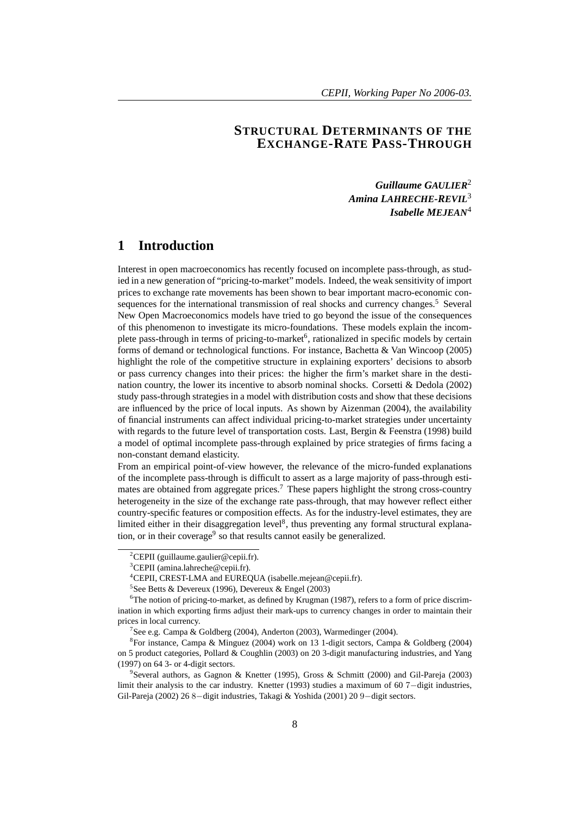# **STRUCTURAL DETERMINANTS OF THE EXCHANGE-RATE PASS-THROUGH**

*Guillaume GAULIER*<sup>2</sup> *Amina LAHRECHE-REVIL*<sup>3</sup> *Isabelle MEJEAN*<sup>4</sup>

# **1 Introduction**

Interest in open macroeconomics has recently focused on incomplete pass-through, as studied in a new generation of "pricing-to-market" models. Indeed, the weak sensitivity of import prices to exchange rate movements has been shown to bear important macro-economic consequences for the international transmission of real shocks and currency changes.<sup>5</sup> Several New Open Macroeconomics models have tried to go beyond the issue of the consequences of this phenomenon to investigate its micro-foundations. These models explain the incomplete pass-through in terms of pricing-to-market<sup>6</sup>, rationalized in specific models by certain forms of demand or technological functions. For instance, Bachetta & Van Wincoop (2005) highlight the role of the competitive structure in explaining exporters' decisions to absorb or pass currency changes into their prices: the higher the firm's market share in the destination country, the lower its incentive to absorb nominal shocks. Corsetti & Dedola (2002) study pass-through strategies in a model with distribution costs and show that these decisions are influenced by the price of local inputs. As shown by Aizenman (2004), the availability of financial instruments can affect individual pricing-to-market strategies under uncertainty with regards to the future level of transportation costs. Last, Bergin & Feenstra (1998) build a model of optimal incomplete pass-through explained by price strategies of firms facing a non-constant demand elasticity.

From an empirical point-of-view however, the relevance of the micro-funded explanations of the incomplete pass-through is difficult to assert as a large majority of pass-through estimates are obtained from aggregate prices.<sup>7</sup> These papers highlight the strong cross-country heterogeneity in the size of the exchange rate pass-through, that may however reflect either country-specific features or composition effects. As for the industry-level estimates, they are limited either in their disaggregation level<sup>8</sup>, thus preventing any formal structural explanation, or in their coverage<sup>9</sup> so that results cannot easily be generalized.

<sup>&</sup>lt;sup>2</sup>CEPII (guillaume.gaulier@cepii.fr).

 ${}^{3}$ CEPII (amina.lahreche@cepii.fr).

<sup>4</sup>CEPII, CREST-LMA and EUREQUA (isabelle.mejean@cepii.fr).

<sup>5</sup> See Betts & Devereux (1996), Devereux & Engel (2003)

 ${}^{6}$ The notion of pricing-to-market, as defined by Krugman (1987), refers to a form of price discrimination in which exporting firms adjust their mark-ups to currency changes in order to maintain their prices in local currency.

<sup>&</sup>lt;sup>7</sup>See e.g. Campa & Goldberg (2004), Anderton (2003), Warmedinger (2004).

<sup>8</sup> For instance, Campa & Minguez (2004) work on 13 1-digit sectors, Campa & Goldberg (2004) on 5 product categories, Pollard & Coughlin (2003) on 20 3-digit manufacturing industries, and Yang (1997) on 64 3- or 4-digit sectors.

<sup>9</sup> Several authors, as Gagnon & Knetter (1995), Gross & Schmitt (2000) and Gil-Pareja (2003) limit their analysis to the car industry. Knetter (1993) studies a maximum of 60 7−digit industries, Gil-Pareja (2002) 26 8−digit industries, Takagi & Yoshida (2001) 20 9−digit sectors.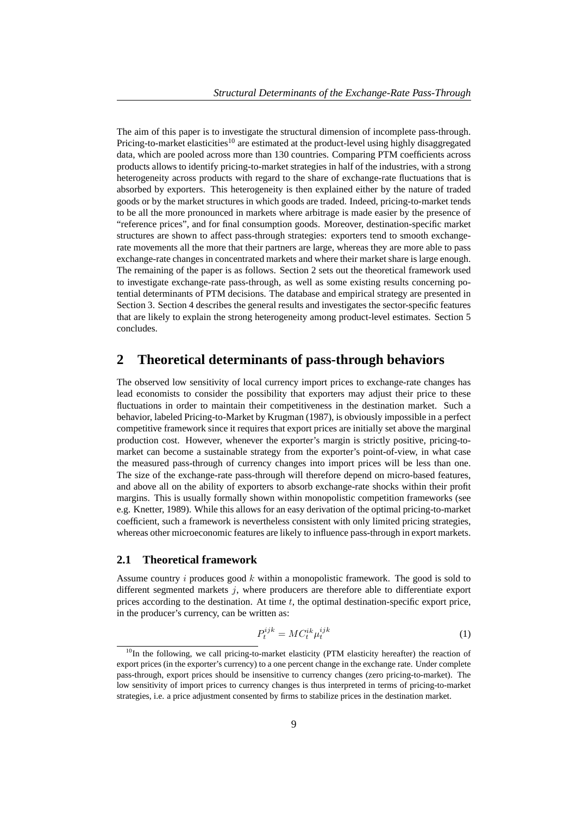The aim of this paper is to investigate the structural dimension of incomplete pass-through. Pricing-to-market elasticities<sup>10</sup> are estimated at the product-level using highly disaggregated data, which are pooled across more than 130 countries. Comparing PTM coefficients across products allows to identify pricing-to-market strategies in half of the industries, with a strong heterogeneity across products with regard to the share of exchange-rate fluctuations that is absorbed by exporters. This heterogeneity is then explained either by the nature of traded goods or by the market structures in which goods are traded. Indeed, pricing-to-market tends to be all the more pronounced in markets where arbitrage is made easier by the presence of "reference prices", and for final consumption goods. Moreover, destination-specific market structures are shown to affect pass-through strategies: exporters tend to smooth exchangerate movements all the more that their partners are large, whereas they are more able to pass exchange-rate changes in concentrated markets and where their market share is large enough. The remaining of the paper is as follows. Section 2 sets out the theoretical framework used to investigate exchange-rate pass-through, as well as some existing results concerning potential determinants of PTM decisions. The database and empirical strategy are presented in Section 3. Section 4 describes the general results and investigates the sector-specific features that are likely to explain the strong heterogeneity among product-level estimates. Section 5 concludes.

# **2 Theoretical determinants of pass-through behaviors**

The observed low sensitivity of local currency import prices to exchange-rate changes has lead economists to consider the possibility that exporters may adjust their price to these fluctuations in order to maintain their competitiveness in the destination market. Such a behavior, labeled Pricing-to-Market by Krugman (1987), is obviously impossible in a perfect competitive framework since it requires that export prices are initially set above the marginal production cost. However, whenever the exporter's margin is strictly positive, pricing-tomarket can become a sustainable strategy from the exporter's point-of-view, in what case the measured pass-through of currency changes into import prices will be less than one. The size of the exchange-rate pass-through will therefore depend on micro-based features, and above all on the ability of exporters to absorb exchange-rate shocks within their profit margins. This is usually formally shown within monopolistic competition frameworks (see e.g. Knetter, 1989). While this allows for an easy derivation of the optimal pricing-to-market coefficient, such a framework is nevertheless consistent with only limited pricing strategies, whereas other microeconomic features are likely to influence pass-through in export markets.

## **2.1 Theoretical framework**

Assume country i produces good  $k$  within a monopolistic framework. The good is sold to different segmented markets *i*, where producers are therefore able to differentiate export prices according to the destination. At time  $t$ , the optimal destination-specific export price, in the producer's currency, can be written as:

$$
P_t^{ijk} = MC_t^{ik} \mu_t^{ijk} \tag{1}
$$

<sup>&</sup>lt;sup>10</sup>In the following, we call pricing-to-market elasticity (PTM elasticity hereafter) the reaction of export prices (in the exporter's currency) to a one percent change in the exchange rate. Under complete pass-through, export prices should be insensitive to currency changes (zero pricing-to-market). The low sensitivity of import prices to currency changes is thus interpreted in terms of pricing-to-market strategies, i.e. a price adjustment consented by firms to stabilize prices in the destination market.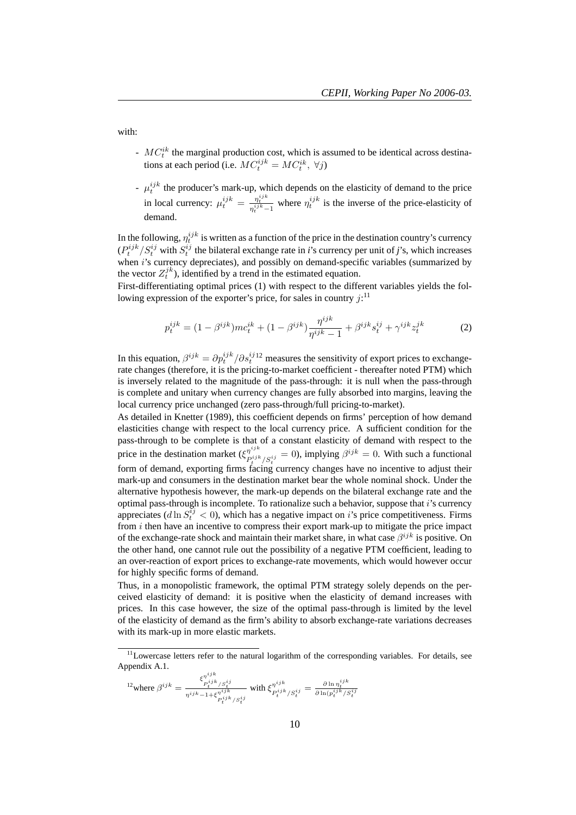with:

- $-MC<sub>t</sub><sup>ik</sup>$  the marginal production cost, which is assumed to be identical across destinations at each period (i.e.  $MC_t^{ijk} = MC_t^{ik}, \ \forall j$ )
- $\mu_t^{ijk}$  the producer's mark-up, which depends on the elasticity of demand to the price in local currency:  $\mu_t^{ijk} = \frac{\eta_t^{ijk}}{\eta_t^{ijk}-1}$  where  $\eta_t^{ijk}$  is the inverse of the price-elasticity of demand.

In the following,  $\eta_t^{ijk}$  is written as a function of the price in the destination country's currency  $(P_t^{ijk}/S_t^{ij}$  with  $S_t^{ij}$  the bilateral exchange rate in *i*'s currency per unit of *j*'s, which increases when  $i$ 's currency depreciates), and possibly on demand-specific variables (summarized by the vector  $Z_t^{jk}$ ), identified by a trend in the estimated equation.

First-differentiating optimal prices (1) with respect to the different variables yields the following expression of the exporter's price, for sales in country  $j$ :<sup>11</sup>

$$
p_t^{ijk} = (1 - \beta^{ijk})mc_t^{ik} + (1 - \beta^{ijk})\frac{\eta^{ijk}}{\eta^{ijk} - 1} + \beta^{ijk}s_t^{ij} + \gamma^{ijk}z_t^{jk}
$$
(2)

In this equation,  $\beta^{ijk} = \partial p_t^{ijk} / \partial s_t^{ij}$  measures the sensitivity of export prices to exchangerate changes (therefore, it is the pricing-to-market coefficient - thereafter noted PTM) which is inversely related to the magnitude of the pass-through: it is null when the pass-through is complete and unitary when currency changes are fully absorbed into margins, leaving the local currency price unchanged (zero pass-through/full pricing-to-market).

As detailed in Knetter (1989), this coefficient depends on firms' perception of how demand elasticities change with respect to the local currency price. A sufficient condition for the pass-through to be complete is that of a constant elasticity of demand with respect to the price in the destination market  $(\xi_{pi}^{\eta^{ijk}})$  $p_i^{ij,k}$ <br> $p_i^{ijk}/S_i^{ij} = 0$ , implying  $\beta^{ijk} = 0$ . With such a functional form of demand, exporting firms facing currency changes have no incentive to adjust their mark-up and consumers in the destination market bear the whole nominal shock. Under the alternative hypothesis however, the mark-up depends on the bilateral exchange rate and the optimal pass-through is incomplete. To rationalize such a behavior, suppose that i's currency appreciates (d ln  $S_t^{ij} < 0$ ), which has a negative impact on i's price competitiveness. Firms from  $i$  then have an incentive to compress their export mark-up to mitigate the price impact of the exchange-rate shock and maintain their market share, in what case  $\beta^{ijk}$  is positive. On the other hand, one cannot rule out the possibility of a negative PTM coefficient, leading to an over-reaction of export prices to exchange-rate movements, which would however occur for highly specific forms of demand.

Thus, in a monopolistic framework, the optimal PTM strategy solely depends on the perceived elasticity of demand: it is positive when the elasticity of demand increases with prices. In this case however, the size of the optimal pass-through is limited by the level of the elasticity of demand as the firm's ability to absorb exchange-rate variations decreases with its mark-up in more elastic markets.

$$
^{12}\text{where }\beta^{ijk}=\frac{\xi_{P_i^{ijk}/S_t^{ij}}^{\eta^{ijk}}}{\eta^{ijk}-1+\xi_{P_t^{ijk}/S_t^{ij}}^{\eta^{ijk}}}\text{ with }\xi_{P_t^{ijk}/S_t^{ij}}^{\eta^{ijk}}=\frac{\partial\ln\eta_t^{ijk}}{\partial\ln(p_t^{ijk}/S_t^{ij}}.
$$

<sup>&</sup>lt;sup>11</sup>Lowercase letters refer to the natural logarithm of the corresponding variables. For details, see Appendix A.1.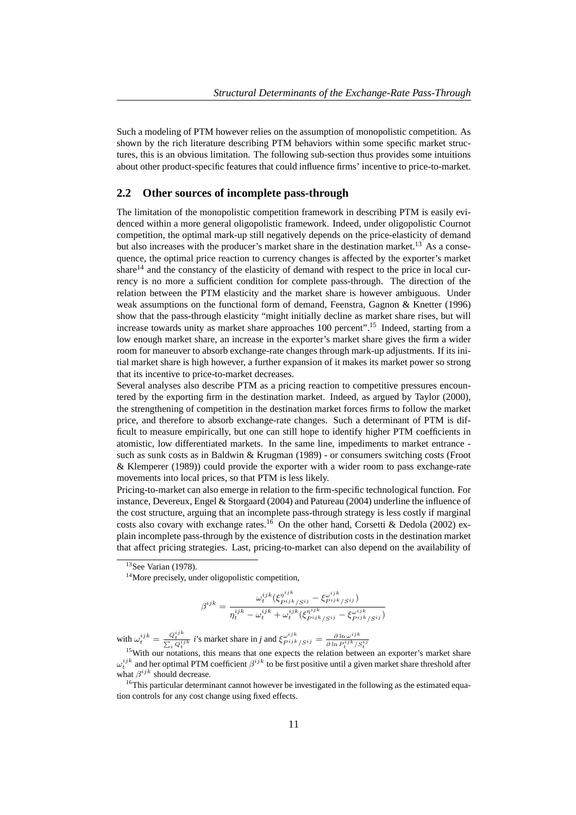Such a modeling of PTM however relies on the assumption of monopolistic competition. As shown by the rich literature describing PTM behaviors within some specific market structures, this is an obvious limitation. The following sub-section thus provides some intuitions about other product-specific features that could influence firms' incentive to price-to-market.

### **2.2 Other sources of incomplete pass-through**

The limitation of the monopolistic competition framework in describing PTM is easily evidenced within a more general oligopolistic framework. Indeed, under oligopolistic Cournot competition, the optimal mark-up still negatively depends on the price-elasticity of demand but also increases with the producer's market share in the destination market.<sup>13</sup> As a consequence, the optimal price reaction to currency changes is affected by the exporter's market share<sup>14</sup> and the constancy of the elasticity of demand with respect to the price in local currency is no more a sufficient condition for complete pass-through. The direction of the relation between the PTM elasticity and the market share is however ambiguous. Under weak assumptions on the functional form of demand, Feenstra, Gagnon & Knetter (1996) show that the pass-through elasticity "might initially decline as market share rises, but will increase towards unity as market share approaches 100 percent".<sup>15</sup> Indeed, starting from a low enough market share, an increase in the exporter's market share gives the firm a wider room for maneuver to absorb exchange-rate changes through mark-up adjustments. If its initial market share is high however, a further expansion of it makes its market power so strong that its incentive to price-to-market decreases.

Several analyses also describe PTM as a pricing reaction to competitive pressures encountered by the exporting firm in the destination market. Indeed, as argued by Taylor (2000), the strengthening of competition in the destination market forces firms to follow the market price, and therefore to absorb exchange-rate changes. Such a determinant of PTM is difficult to measure empirically, but one can still hope to identify higher PTM coefficients in atomistic, low differentiated markets. In the same line, impediments to market entrance such as sunk costs as in Baldwin & Krugman (1989) - or consumers switching costs (Froot & Klemperer (1989)) could provide the exporter with a wider room to pass exchange-rate movements into local prices, so that PTM is less likely.

Pricing-to-market can also emerge in relation to the firm-specific technological function. For instance, Devereux, Engel & Storgaard (2004) and Patureau (2004) underline the influence of the cost structure, arguing that an incomplete pass-through strategy is less costly if marginal costs also covary with exchange rates.<sup>16</sup> On the other hand, Corsetti & Dedola (2002) explain incomplete pass-through by the existence of distribution costs in the destination market that affect pricing strategies. Last, pricing-to-market can also depend on the availability of

$$
\beta^{ijk} = \frac{\omega_t^{ijk} (\xi_{pijk/Sij}^{\eta^{ijk}} - \xi_{pijk/Sij}^{\omega^{ijk}})}{\eta_t^{ijk} - \omega_t^{ijk} + \omega_t^{ijk} (\xi_{pijk/Sij}^{\eta^{ijk}} - \xi_{pijk/Sij}^{\omega^{ijk}})}
$$

with  $\omega_i^{ijk} = \frac{Q_i^{ijk}}{\sum_i Q_i^{ijk}} i$ 's market share in *j* and  $\xi_{Pijk}^{\omega ijk}$   $\zeta_{j} = \frac{\partial \ln \omega^{ijk}}{\partial \ln P_i^{ijk}}$  $\partial \ln P_t^{ijk}/S_t^{ij}$ 

<sup>16</sup>This particular determinant cannot however be investigated in the following as the estimated equation controls for any cost change using fixed effects.

<sup>&</sup>lt;sup>13</sup>See Varian (1978).

<sup>&</sup>lt;sup>14</sup>More precisely, under oligopolistic competition,

<sup>&</sup>lt;sup>15</sup>With our notations, this means that one expects the relation between an exporter's market share  $\omega_t^{ijk}$  and her optimal PTM coefficient  $\beta^{ijk}$  to be first positive until a given market share threshold after what  $\beta^{ijk}$  should decrease.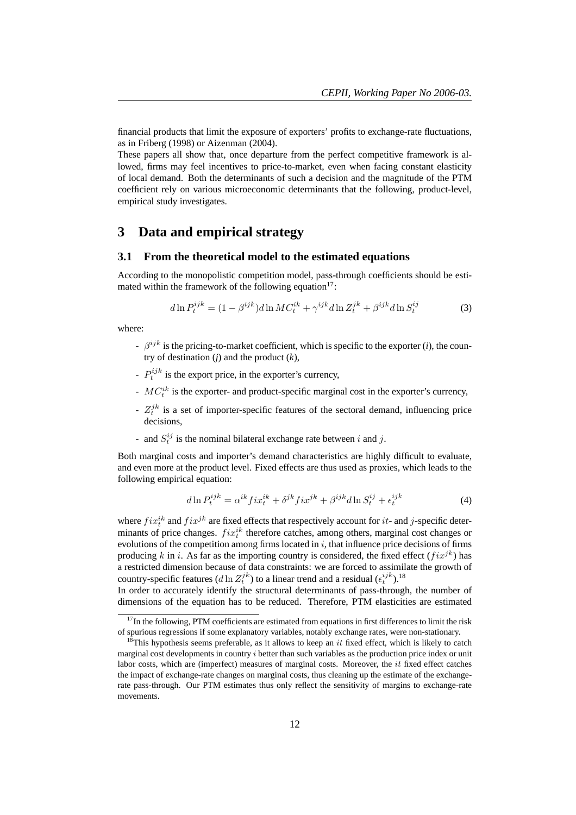financial products that limit the exposure of exporters' profits to exchange-rate fluctuations, as in Friberg (1998) or Aizenman (2004).

These papers all show that, once departure from the perfect competitive framework is allowed, firms may feel incentives to price-to-market, even when facing constant elasticity of local demand. Both the determinants of such a decision and the magnitude of the PTM coefficient rely on various microeconomic determinants that the following, product-level, empirical study investigates.

## **3 Data and empirical strategy**

### **3.1 From the theoretical model to the estimated equations**

According to the monopolistic competition model, pass-through coefficients should be estimated within the framework of the following equation<sup>17</sup>:

$$
d\ln P_t^{ijk} = (1 - \beta^{ijk})d\ln MC_t^{ik} + \gamma^{ijk}d\ln Z_t^{jk} + \beta^{ijk}d\ln S_t^{ij}
$$
 (3)

where:

- $\beta^{ijk}$  is the pricing-to-market coefficient, which is specific to the exporter (*i*), the country of destination (*j*) and the product (*k*),
- $-P_t^{ijk}$  is the export price, in the exporter's currency,
- $-MC_t^{ik}$  is the exporter- and product-specific marginal cost in the exporter's currency,
- $Z_t^{jk}$  is a set of importer-specific features of the sectoral demand, influencing price decisions,
- and  $S_t^{ij}$  is the nominal bilateral exchange rate between i and j.

Both marginal costs and importer's demand characteristics are highly difficult to evaluate, and even more at the product level. Fixed effects are thus used as proxies, which leads to the following empirical equation:

$$
d\ln P_t^{ijk} = \alpha^{ik} f i x_t^{ik} + \delta^{jk} f i x^{jk} + \beta^{ijk} d\ln S_t^{ij} + \epsilon_t^{ijk}
$$
 (4)

where  $fix_t^{ik}$  and  $fix_j^{jk}$  are fixed effects that respectively account for it- and j-specific deterwhere  $f \mathcal{U}_t$  and  $f \mathcal{U}^s$  are fixed effects that respectively account for  $\mathcal{U}^s$  and  $f$ -specific determinants of price changes.  $fix_t^{ik}$  therefore catches, among others, marginal cost changes or evolutions of the competition among firms located in  $i$ , that influence price decisions of firms producing k in i. As far as the importing country is considered, the fixed effect  $(fix^{jk})$  has a restricted dimension because of data constraints: we are forced to assimilate the growth of country-specific features  $(d \ln Z_t^{jk})$  to a linear trend and a residual  $(\epsilon_t^{ijk})$ .<sup>18</sup>

In order to accurately identify the structural determinants of pass-through, the number of dimensions of the equation has to be reduced. Therefore, PTM elasticities are estimated

 $17$ In the following, PTM coefficients are estimated from equations in first differences to limit the risk of spurious regressions if some explanatory variables, notably exchange rates, were non-stationary.

<sup>&</sup>lt;sup>18</sup>This hypothesis seems preferable, as it allows to keep an it fixed effect, which is likely to catch marginal cost developments in country  $i$  better than such variables as the production price index or unit labor costs, which are (imperfect) measures of marginal costs. Moreover, the it fixed effect catches the impact of exchange-rate changes on marginal costs, thus cleaning up the estimate of the exchangerate pass-through. Our PTM estimates thus only reflect the sensitivity of margins to exchange-rate movements.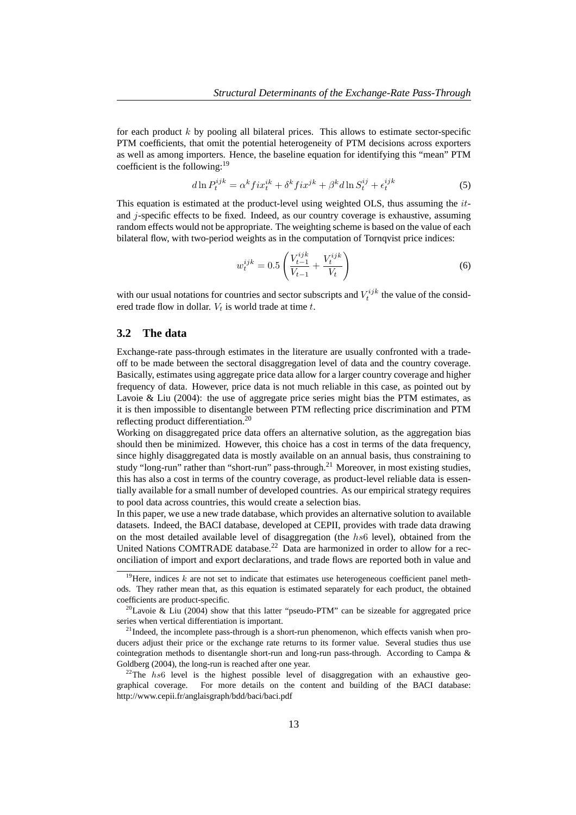for each product  $k$  by pooling all bilateral prices. This allows to estimate sector-specific PTM coefficients, that omit the potential heterogeneity of PTM decisions across exporters as well as among importers. Hence, the baseline equation for identifying this "mean" PTM coefficient is the following:<sup>19</sup>

$$
d\ln P_t^{ijk} = \alpha^k f i x_t^{ik} + \delta^k f i x^{jk} + \beta^k d\ln S_t^{ij} + \epsilon_t^{ijk}
$$
\n<sup>(5)</sup>

This equation is estimated at the product-level using weighted OLS, thus assuming the itand  $j$ -specific effects to be fixed. Indeed, as our country coverage is exhaustive, assuming random effects would not be appropriate. The weighting scheme is based on the value of each bilateral flow, with two-period weights as in the computation of Tornqvist price indices:

$$
w_t^{ijk} = 0.5 \left( \frac{V_{t-1}^{ijk}}{V_{t-1}} + \frac{V_t^{ijk}}{V_t} \right) \tag{6}
$$

with our usual notations for countries and sector subscripts and  $V_t^{ijk}$  the value of the considered trade flow in dollar.  $V_t$  is world trade at time t.

## **3.2 The data**

Exchange-rate pass-through estimates in the literature are usually confronted with a tradeoff to be made between the sectoral disaggregation level of data and the country coverage. Basically, estimates using aggregate price data allow for a larger country coverage and higher frequency of data. However, price data is not much reliable in this case, as pointed out by Lavoie & Liu  $(2004)$ : the use of aggregate price series might bias the PTM estimates, as it is then impossible to disentangle between PTM reflecting price discrimination and PTM reflecting product differentiation.<sup>20</sup>

Working on disaggregated price data offers an alternative solution, as the aggregation bias should then be minimized. However, this choice has a cost in terms of the data frequency, since highly disaggregated data is mostly available on an annual basis, thus constraining to study "long-run" rather than "short-run" pass-through.<sup>21</sup> Moreover, in most existing studies, this has also a cost in terms of the country coverage, as product-level reliable data is essentially available for a small number of developed countries. As our empirical strategy requires to pool data across countries, this would create a selection bias.

In this paper, we use a new trade database, which provides an alternative solution to available datasets. Indeed, the BACI database, developed at CEPII, provides with trade data drawing on the most detailed available level of disaggregation (the hs6 level), obtained from the United Nations COMTRADE database.<sup>22</sup> Data are harmonized in order to allow for a reconciliation of import and export declarations, and trade flows are reported both in value and

<sup>&</sup>lt;sup>19</sup>Here, indices k are not set to indicate that estimates use heterogeneous coefficient panel methods. They rather mean that, as this equation is estimated separately for each product, the obtained coefficients are product-specific.

<sup>&</sup>lt;sup>20</sup>Lavoie & Liu (2004) show that this latter "pseudo-PTM" can be sizeable for aggregated price series when vertical differentiation is important.

 $2<sup>1</sup>$ Indeed, the incomplete pass-through is a short-run phenomenon, which effects vanish when producers adjust their price or the exchange rate returns to its former value. Several studies thus use cointegration methods to disentangle short-run and long-run pass-through. According to Campa & Goldberg (2004), the long-run is reached after one year.

<sup>&</sup>lt;sup>22</sup>The hs6 level is the highest possible level of disaggregation with an exhaustive geographical coverage. For more details on the content and building of the BACI database: http://www.cepii.fr/anglaisgraph/bdd/baci/baci.pdf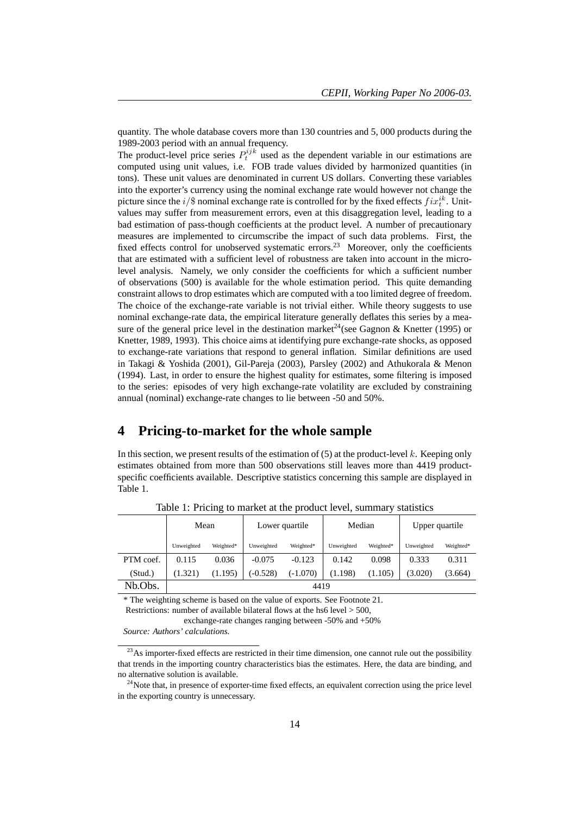quantity. The whole database covers more than 130 countries and 5, 000 products during the 1989-2003 period with an annual frequency.

The product-level price series  $P_t^{ijk}$  used as the dependent variable in our estimations are computed using unit values, i.e. FOB trade values divided by harmonized quantities (in tons). These unit values are denominated in current US dollars. Converting these variables into the exporter's currency using the nominal exchange rate would however not change the picture since the  $i/\$  nominal exchange rate is controlled for by the fixed effects  $fix_t^{ik}$ . Unitvalues may suffer from measurement errors, even at this disaggregation level, leading to a bad estimation of pass-though coefficients at the product level. A number of precautionary measures are implemented to circumscribe the impact of such data problems. First, the fixed effects control for unobserved systematic errors.<sup>23</sup> Moreover, only the coefficients that are estimated with a sufficient level of robustness are taken into account in the microlevel analysis. Namely, we only consider the coefficients for which a sufficient number of observations (500) is available for the whole estimation period. This quite demanding constraint allows to drop estimates which are computed with a too limited degree of freedom. The choice of the exchange-rate variable is not trivial either. While theory suggests to use nominal exchange-rate data, the empirical literature generally deflates this series by a measure of the general price level in the destination market<sup>24</sup>(see Gagnon & Knetter (1995) or Knetter, 1989, 1993). This choice aims at identifying pure exchange-rate shocks, as opposed to exchange-rate variations that respond to general inflation. Similar definitions are used in Takagi & Yoshida (2001), Gil-Pareja (2003), Parsley (2002) and Athukorala & Menon (1994). Last, in order to ensure the highest quality for estimates, some filtering is imposed to the series: episodes of very high exchange-rate volatility are excluded by constraining annual (nominal) exchange-rate changes to lie between -50 and 50%.

## **4 Pricing-to-market for the whole sample**

In this section, we present results of the estimation of  $(5)$  at the product-level k. Keeping only estimates obtained from more than 500 observations still leaves more than 4419 productspecific coefficients available. Descriptive statistics concerning this sample are displayed in Table 1.

|           | Mean       |           |            | Lower quartile | Median     |           | Upper quartile |           |
|-----------|------------|-----------|------------|----------------|------------|-----------|----------------|-----------|
|           | Unweighted | Weighted* | Unweighted | Weighted*      | Unweighted | Weighted* | Unweighted     | Weighted* |
| PTM coef. | 0.115      | 0.036     | $-0.075$   | $-0.123$       | 0.142      | 0.098     | 0.333          | 0.311     |
| (Stud.)   | (1.321)    | (1.195)   | $(-0.528)$ | $(-1.070)$     | (1.198)    | (1.105)   | (3.020)        | (3.664)   |
| Nb.Obs.   |            |           |            | 4419           |            |           |                |           |

Table 1: Pricing to market at the product level, summary statistics

\* The weighting scheme is based on the value of exports. See Footnote 21.

Restrictions: number of available bilateral flows at the hs6 level > 500,

exchange-rate changes ranging between -50% and +50%

*Source: Authors' calculations.*

<sup>&</sup>lt;sup>23</sup>As importer-fixed effects are restricted in their time dimension, one cannot rule out the possibility that trends in the importing country characteristics bias the estimates. Here, the data are binding, and no alternative solution is available.

 $^{24}$ Note that, in presence of exporter-time fixed effects, an equivalent correction using the price level in the exporting country is unnecessary.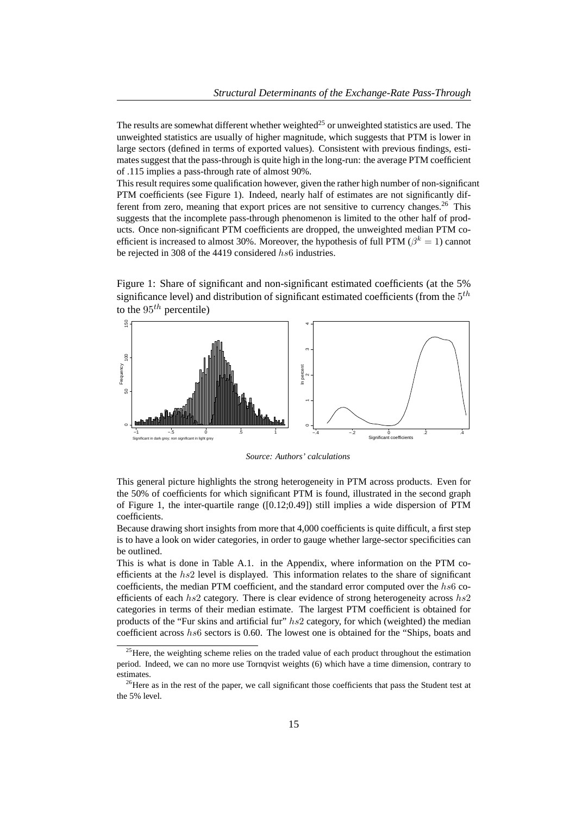The results are somewhat different whether weighted<sup>25</sup> or unweighted statistics are used. The unweighted statistics are usually of higher magnitude, which suggests that PTM is lower in large sectors (defined in terms of exported values). Consistent with previous findings, estimates suggest that the pass-through is quite high in the long-run: the average PTM coefficient of .115 implies a pass-through rate of almost 90%.

This result requires some qualification however, given the rather high number of non-significant PTM coefficients (see Figure 1). Indeed, nearly half of estimates are not significantly different from zero, meaning that export prices are not sensitive to currency changes.<sup>26</sup> This suggests that the incomplete pass-through phenomenon is limited to the other half of products. Once non-significant PTM coefficients are dropped, the unweighted median PTM coefficient is increased to almost 30%. Moreover, the hypothesis of full PTM ( $\beta^k = 1$ ) cannot be rejected in 308 of the 4419 considered hs6 industries.

Figure 1: Share of significant and non-significant estimated coefficients (at the 5% significance level) and distribution of significant estimated coefficients (from the  $5^{th}$ to the  $95<sup>th</sup>$  percentile)



*Source: Authors' calculations*

This general picture highlights the strong heterogeneity in PTM across products. Even for the 50% of coefficients for which significant PTM is found, illustrated in the second graph of Figure 1, the inter-quartile range  $([0.12;0.49])$  still implies a wide dispersion of PTM coefficients.

Because drawing short insights from more that 4,000 coefficients is quite difficult, a first step is to have a look on wider categories, in order to gauge whether large-sector specificities can be outlined.

This is what is done in Table A.1. in the Appendix, where information on the PTM coefficients at the  $hs2$  level is displayed. This information relates to the share of significant coefficients, the median PTM coefficient, and the standard error computed over the  $hs6$  coefficients of each  $h<sub>s</sub>2$  category. There is clear evidence of strong heterogeneity across  $h<sub>s</sub>2$ categories in terms of their median estimate. The largest PTM coefficient is obtained for products of the "Fur skins and artificial fur"  $hs2$  category, for which (weighted) the median coefficient across  $hs6$  sectors is 0.60. The lowest one is obtained for the "Ships, boats and

 $^{25}$ Here, the weighting scheme relies on the traded value of each product throughout the estimation period. Indeed, we can no more use Tornqvist weights (6) which have a time dimension, contrary to estimates.

 $26$ Here as in the rest of the paper, we call significant those coefficients that pass the Student test at the 5% level.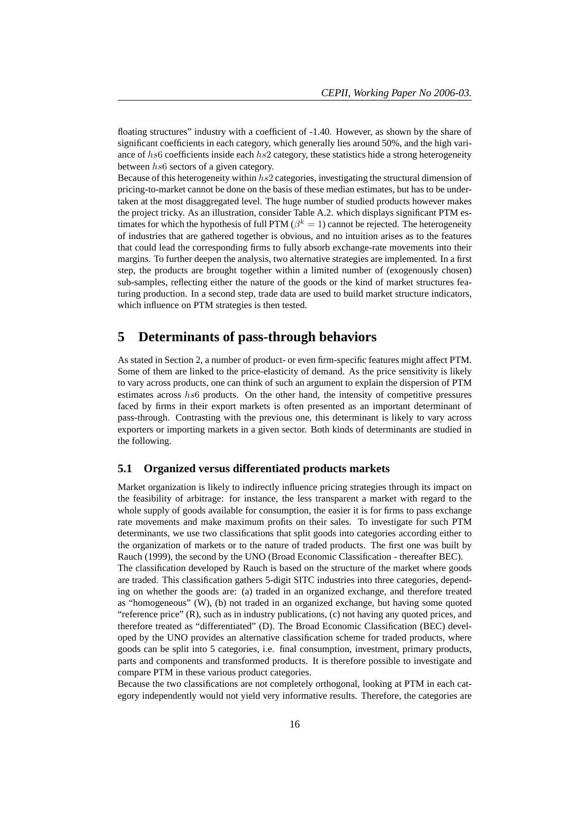floating structures" industry with a coefficient of -1.40. However, as shown by the share of significant coefficients in each category, which generally lies around 50%, and the high variance of hs6 coefficients inside each hs2 category, these statistics hide a strong heterogeneity between hs6 sectors of a given category.

Because of this heterogeneity within  $hs2$  categories, investigating the structural dimension of pricing-to-market cannot be done on the basis of these median estimates, but has to be undertaken at the most disaggregated level. The huge number of studied products however makes the project tricky. As an illustration, consider Table A.2. which displays significant PTM estimates for which the hypothesis of full PTM ( $\beta^k = 1$ ) cannot be rejected. The heterogeneity of industries that are gathered together is obvious, and no intuition arises as to the features that could lead the corresponding firms to fully absorb exchange-rate movements into their margins. To further deepen the analysis, two alternative strategies are implemented. In a first step, the products are brought together within a limited number of (exogenously chosen) sub-samples, reflecting either the nature of the goods or the kind of market structures featuring production. In a second step, trade data are used to build market structure indicators, which influence on PTM strategies is then tested.

# **5 Determinants of pass-through behaviors**

As stated in Section 2, a number of product- or even firm-specific features might affect PTM. Some of them are linked to the price-elasticity of demand. As the price sensitivity is likely to vary across products, one can think of such an argument to explain the dispersion of PTM estimates across hs6 products. On the other hand, the intensity of competitive pressures faced by firms in their export markets is often presented as an important determinant of pass-through. Contrasting with the previous one, this determinant is likely to vary across exporters or importing markets in a given sector. Both kinds of determinants are studied in the following.

#### **5.1 Organized versus differentiated products markets**

Market organization is likely to indirectly influence pricing strategies through its impact on the feasibility of arbitrage: for instance, the less transparent a market with regard to the whole supply of goods available for consumption, the easier it is for firms to pass exchange rate movements and make maximum profits on their sales. To investigate for such PTM determinants, we use two classifications that split goods into categories according either to the organization of markets or to the nature of traded products. The first one was built by Rauch (1999), the second by the UNO (Broad Economic Classification - thereafter BEC).

The classification developed by Rauch is based on the structure of the market where goods are traded. This classification gathers 5-digit SITC industries into three categories, depending on whether the goods are: (a) traded in an organized exchange, and therefore treated as "homogeneous" (W), (b) not traded in an organized exchange, but having some quoted "reference price" (R), such as in industry publications, (c) not having any quoted prices, and therefore treated as "differentiated" (D). The Broad Economic Classification (BEC) developed by the UNO provides an alternative classification scheme for traded products, where goods can be split into 5 categories, i.e. final consumption, investment, primary products, parts and components and transformed products. It is therefore possible to investigate and compare PTM in these various product categories.

Because the two classifications are not completely orthogonal, looking at PTM in each category independently would not yield very informative results. Therefore, the categories are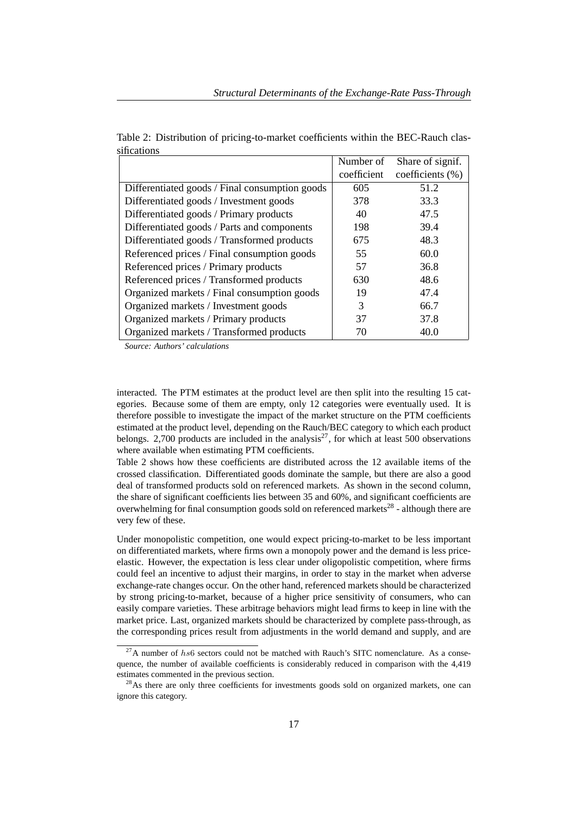|                                                | Number of   | Share of signif. |
|------------------------------------------------|-------------|------------------|
|                                                | coefficient | coefficients (%) |
| Differentiated goods / Final consumption goods | 605         | 51.2             |
| Differentiated goods / Investment goods        | 378         | 33.3             |
| Differentiated goods / Primary products        | 40          | 47.5             |
| Differentiated goods / Parts and components    | 198         | 39.4             |
| Differentiated goods / Transformed products    | 675         | 48.3             |
| Referenced prices / Final consumption goods    | 55          | 60.0             |
| Referenced prices / Primary products           | 57          | 36.8             |
| Referenced prices / Transformed products       | 630         | 48.6             |
| Organized markets / Final consumption goods    | 19          | 47.4             |
| Organized markets / Investment goods           | 3           | 66.7             |
| Organized markets / Primary products           | 37          | 37.8             |
| Organized markets / Transformed products       | 70          | 40.0             |

Table 2: Distribution of pricing-to-market coefficients within the BEC-Rauch classifications

*Source: Authors' calculations*

interacted. The PTM estimates at the product level are then split into the resulting 15 categories. Because some of them are empty, only 12 categories were eventually used. It is therefore possible to investigate the impact of the market structure on the PTM coefficients estimated at the product level, depending on the Rauch/BEC category to which each product belongs. 2,700 products are included in the analysis<sup>27</sup>, for which at least 500 observations where available when estimating PTM coefficients.

Table 2 shows how these coefficients are distributed across the 12 available items of the crossed classification. Differentiated goods dominate the sample, but there are also a good deal of transformed products sold on referenced markets. As shown in the second column, the share of significant coefficients lies between 35 and 60%, and significant coefficients are overwhelming for final consumption goods sold on referenced markets<sup>28</sup> - although there are very few of these.

Under monopolistic competition, one would expect pricing-to-market to be less important on differentiated markets, where firms own a monopoly power and the demand is less priceelastic. However, the expectation is less clear under oligopolistic competition, where firms could feel an incentive to adjust their margins, in order to stay in the market when adverse exchange-rate changes occur. On the other hand, referenced markets should be characterized by strong pricing-to-market, because of a higher price sensitivity of consumers, who can easily compare varieties. These arbitrage behaviors might lead firms to keep in line with the market price. Last, organized markets should be characterized by complete pass-through, as the corresponding prices result from adjustments in the world demand and supply, and are

 $27A$  number of hs6 sectors could not be matched with Rauch's SITC nomenclature. As a consequence, the number of available coefficients is considerably reduced in comparison with the 4,419 estimates commented in the previous section.

 $^{28}$ As there are only three coefficients for investments goods sold on organized markets, one can ignore this category.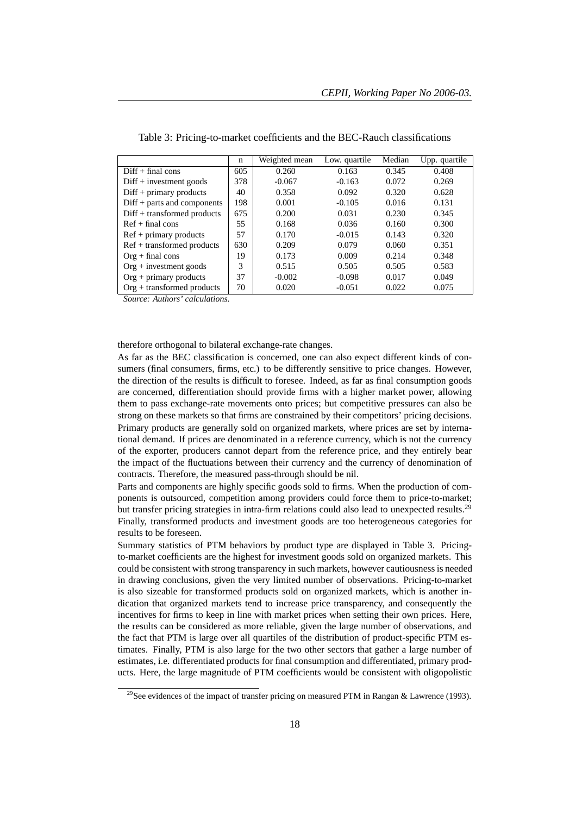|                               | $\mathbf n$ | Weighted mean | Low. quartile | Median | Upp. quartile |
|-------------------------------|-------------|---------------|---------------|--------|---------------|
| $Diff + final cons$           | 605         | 0.260         | 0.163         | 0.345  | 0.408         |
| $Diff + investment goods$     | 378         | $-0.067$      | $-0.163$      | 0.072  | 0.269         |
| $Diff + primary$ products     | 40          | 0.358         | 0.092         | 0.320  | 0.628         |
| $Diff + parts$ and components | 198         | 0.001         | $-0.105$      | 0.016  | 0.131         |
| $Diff + transformed$ products | 675         | 0.200         | 0.031         | 0.230  | 0.345         |
| $Ref + final cons$            | 55          | 0.168         | 0.036         | 0.160  | 0.300         |
| $Ref + primary$ products      | 57          | 0.170         | $-0.015$      | 0.143  | 0.320         |
| $Ref + transformed$ products  | 630         | 0.209         | 0.079         | 0.060  | 0.351         |
| $Org + final cons$            | 19          | 0.173         | 0.009         | 0.214  | 0.348         |
| $Org + investment goods$      | 3           | 0.515         | 0.505         | 0.505  | 0.583         |
| $Org + primary$ products      | 37          | $-0.002$      | $-0.098$      | 0.017  | 0.049         |
| $Org + transformed$ products  | 70          | 0.020         | $-0.051$      | 0.022  | 0.075         |

Table 3: Pricing-to-market coefficients and the BEC-Rauch classifications

*Source: Authors' calculations.*

therefore orthogonal to bilateral exchange-rate changes.

As far as the BEC classification is concerned, one can also expect different kinds of consumers (final consumers, firms, etc.) to be differently sensitive to price changes. However, the direction of the results is difficult to foresee. Indeed, as far as final consumption goods are concerned, differentiation should provide firms with a higher market power, allowing them to pass exchange-rate movements onto prices; but competitive pressures can also be strong on these markets so that firms are constrained by their competitors' pricing decisions. Primary products are generally sold on organized markets, where prices are set by international demand. If prices are denominated in a reference currency, which is not the currency of the exporter, producers cannot depart from the reference price, and they entirely bear the impact of the fluctuations between their currency and the currency of denomination of contracts. Therefore, the measured pass-through should be nil.

Parts and components are highly specific goods sold to firms. When the production of components is outsourced, competition among providers could force them to price-to-market; but transfer pricing strategies in intra-firm relations could also lead to unexpected results.<sup>29</sup> Finally, transformed products and investment goods are too heterogeneous categories for results to be foreseen.

Summary statistics of PTM behaviors by product type are displayed in Table 3. Pricingto-market coefficients are the highest for investment goods sold on organized markets. This could be consistent with strong transparency in such markets, however cautiousness is needed in drawing conclusions, given the very limited number of observations. Pricing-to-market is also sizeable for transformed products sold on organized markets, which is another indication that organized markets tend to increase price transparency, and consequently the incentives for firms to keep in line with market prices when setting their own prices. Here, the results can be considered as more reliable, given the large number of observations, and the fact that PTM is large over all quartiles of the distribution of product-specific PTM estimates. Finally, PTM is also large for the two other sectors that gather a large number of estimates, i.e. differentiated products for final consumption and differentiated, primary products. Here, the large magnitude of PTM coefficients would be consistent with oligopolistic

<sup>&</sup>lt;sup>29</sup>See evidences of the impact of transfer pricing on measured PTM in Rangan & Lawrence (1993).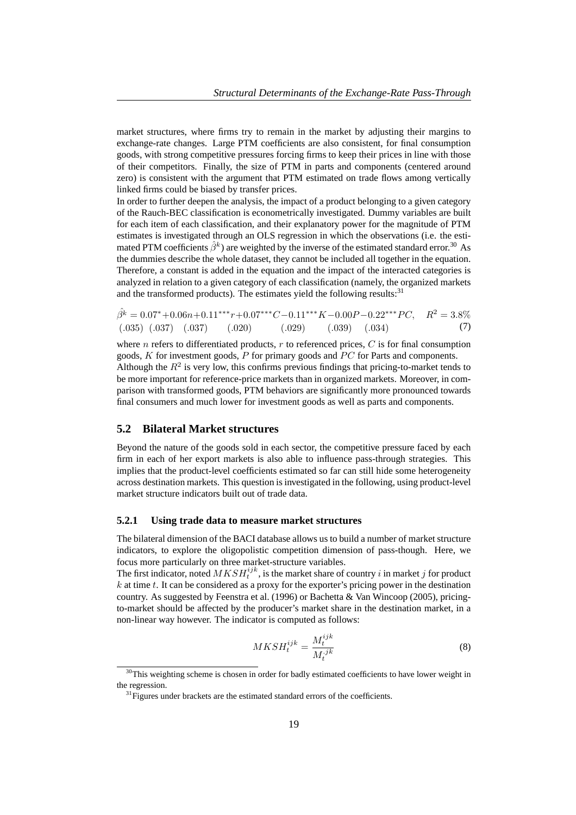market structures, where firms try to remain in the market by adjusting their margins to exchange-rate changes. Large PTM coefficients are also consistent, for final consumption goods, with strong competitive pressures forcing firms to keep their prices in line with those of their competitors. Finally, the size of PTM in parts and components (centered around zero) is consistent with the argument that PTM estimated on trade flows among vertically linked firms could be biased by transfer prices.

In order to further deepen the analysis, the impact of a product belonging to a given category of the Rauch-BEC classification is econometrically investigated. Dummy variables are built for each item of each classification, and their explanatory power for the magnitude of PTM estimates is investigated through an OLS regression in which the observations (i.e. the estimated PTM coefficients  $\hat{\beta}^k$ ) are weighted by the inverse of the estimated standard error.<sup>30</sup> As the dummies describe the whole dataset, they cannot be included all together in the equation. Therefore, a constant is added in the equation and the impact of the interacted categories is analyzed in relation to a given category of each classification (namely, the organized markets and the transformed products). The estimates yield the following results: $31$ 

$$
\hat{\beta}^k = 0.07^* + 0.06n + 0.11^{***}r + 0.07^{***}C - 0.11^{***}K - 0.00P - 0.22^{***}PC, \quad R^2 = 3.8\%
$$
  
(.035) (.037) (.037) (.020) (.029) (.039) (.034) (7)

where  $n$  refers to differentiated products,  $r$  to referenced prices,  $C$  is for final consumption goods,  $K$  for investment goods,  $P$  for primary goods and  $PC$  for Parts and components. Although the  $R^2$  is very low, this confirms previous findings that pricing-to-market tends to be more important for reference-price markets than in organized markets. Moreover, in comparison with transformed goods, PTM behaviors are significantly more pronounced towards final consumers and much lower for investment goods as well as parts and components.

## **5.2 Bilateral Market structures**

Beyond the nature of the goods sold in each sector, the competitive pressure faced by each firm in each of her export markets is also able to influence pass-through strategies. This implies that the product-level coefficients estimated so far can still hide some heterogeneity across destination markets. This question is investigated in the following, using product-level market structure indicators built out of trade data.

#### **5.2.1 Using trade data to measure market structures**

The bilateral dimension of the BACI database allows us to build a number of market structure indicators, to explore the oligopolistic competition dimension of pass-though. Here, we focus more particularly on three market-structure variables.

The first indicator, noted  $MKSH_t^{ijk}$ , is the market share of country i in market j for product  $k$  at time  $t$ . It can be considered as a proxy for the exporter's pricing power in the destination country. As suggested by Feenstra et al. (1996) or Bachetta & Van Wincoop (2005), pricingto-market should be affected by the producer's market share in the destination market, in a non-linear way however. The indicator is computed as follows:

$$
MKSH_t^{ijk} = \frac{M_t^{ijk}}{M_t^{jk}}
$$
 (8)

 $30$ This weighting scheme is chosen in order for badly estimated coefficients to have lower weight in the regression.

 $31$  Figures under brackets are the estimated standard errors of the coefficients.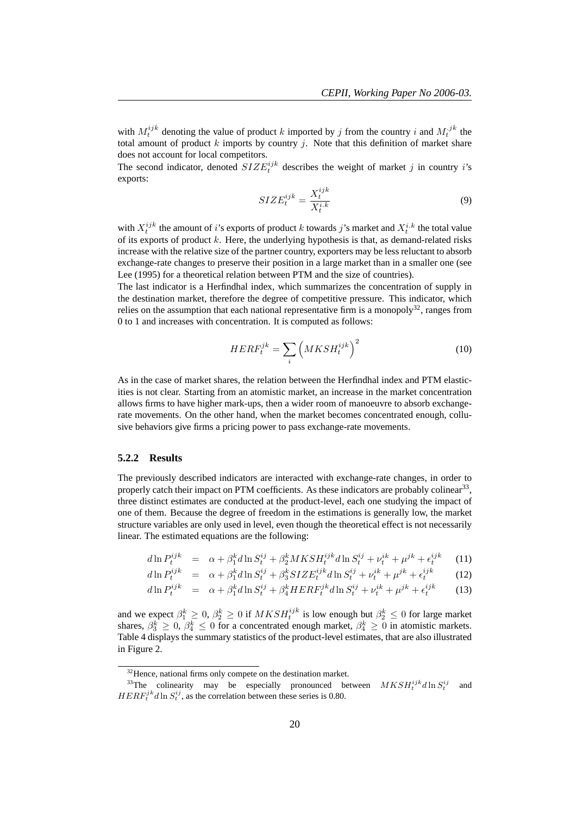with  $M_t^{ijk}$  denoting the value of product k imported by j from the country i and  $M_t^{ijk}$  the total amount of product k imports by country j. Note that this definition of market share does not account for local competitors.

The second indicator, denoted  $SIZE^{ijk}_t$  describes the weight of market j in country i's exports:

$$
SIZE_t^{ijk} = \frac{X_t^{ijk}}{X_t^{i.k}}
$$
\n(9)

with  $X_t^{ijk}$  the amount of i's exports of product k towards j's market and  $X_t^{i,k}$  the total value of its exports of product  $k$ . Here, the underlying hypothesis is that, as demand-related risks increase with the relative size of the partner country, exporters may be less reluctant to absorb exchange-rate changes to preserve their position in a large market than in a smaller one (see Lee (1995) for a theoretical relation between PTM and the size of countries).

The last indicator is a Herfindhal index, which summarizes the concentration of supply in the destination market, therefore the degree of competitive pressure. This indicator, which relies on the assumption that each national representative firm is a monopoly<sup>32</sup>, ranges from 0 to 1 and increases with concentration. It is computed as follows:

$$
HERF_t^{jk} = \sum_{i} \left( MKSH_t^{ijk} \right)^2 \tag{10}
$$

As in the case of market shares, the relation between the Herfindhal index and PTM elasticities is not clear. Starting from an atomistic market, an increase in the market concentration allows firms to have higher mark-ups, then a wider room of manoeuvre to absorb exchangerate movements. On the other hand, when the market becomes concentrated enough, collusive behaviors give firms a pricing power to pass exchange-rate movements.

#### **5.2.2 Results**

The previously described indicators are interacted with exchange-rate changes, in order to properly catch their impact on PTM coefficients. As these indicators are probably colinear<sup>33</sup>, three distinct estimates are conducted at the product-level, each one studying the impact of one of them. Because the degree of freedom in the estimations is generally low, the market structure variables are only used in level, even though the theoretical effect is not necessarily linear. The estimated equations are the following:

$$
d\ln P_t^{ijk} = \alpha + \beta_1^k d\ln S_t^{ij} + \beta_2^k MKSH_t^{ijk}d\ln S_t^{ij} + \nu_t^{ik} + \mu^{jk} + \epsilon_t^{ijk} \tag{11}
$$

$$
d\ln P_t^{ijk} = \alpha + \beta_1^k d\ln S_t^{ij} + \beta_3^k SIZE_t^{ijk} d\ln S_t^{ij} + \nu_t^{ik} + \mu^{jk} + \epsilon_t^{ijk}
$$
 (12)

$$
d\ln P_t^{ijk} = \alpha + \beta_1^k d\ln S_t^{ij} + \beta_4^k H E R F_t^{jk} d\ln S_t^{ij} + \nu_t^{ik} + \mu^{jk} + \epsilon_t^{ijk}
$$
 (13)

and we expect  $\beta_1^k \geq 0$ ,  $\beta_2^k \geq 0$  if  $MKSH_t^{ijk}$  is low enough but  $\beta_2^k \leq 0$  for large market shares,  $\beta_3^k \geq 0$ ,  $\beta_4^k \leq 0$  for a concentrated enough market,  $\beta_4^k \geq 0$  in atomistic markets. Table 4 displays the summary statistics of the product-level estimates, that are also illustrated in Figure 2.

 $32$ Hence, national firms only compete on the destination market.

<sup>&</sup>lt;sup>33</sup>The colinearity may be especially pronounced between  $MKSH_t^{ijk}d\ln S_t^{ij}$ <br> $HERF_t^{jk}d\ln S_t^{ij}$ , as the correlation between these series is 0.80. and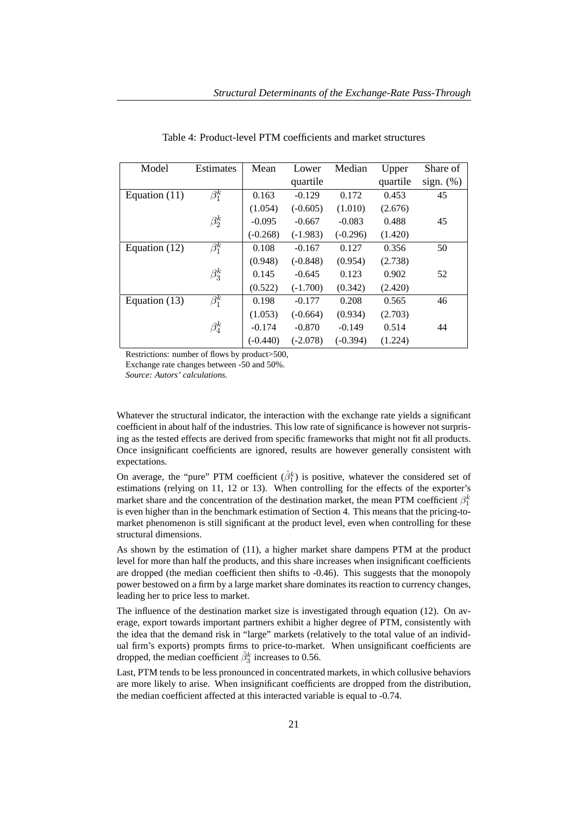| Model         | Estimates   | Mean       | Lower      | Median     | Upper    | Share of     |
|---------------|-------------|------------|------------|------------|----------|--------------|
|               |             |            | quartile   |            | quartile | sign. $(\%)$ |
| Equation (11) | $\beta_1^k$ | 0.163      | $-0.129$   | 0.172      | 0.453    | 45           |
|               |             | (1.054)    | $(-0.605)$ | (1.010)    | (2.676)  |              |
|               | $\beta_2^k$ | $-0.095$   | $-0.667$   | $-0.083$   | 0.488    | 45           |
|               |             | $(-0.268)$ | $(-1.983)$ | $(-0.296)$ | (1.420)  |              |
| Equation (12) | $\beta_1^k$ | 0.108      | $-0.167$   | 0.127      | 0.356    | 50           |
|               |             | (0.948)    | $(-0.848)$ | (0.954)    | (2.738)  |              |
|               | $\beta_3^k$ | 0.145      | $-0.645$   | 0.123      | 0.902    | 52           |
|               |             | (0.522)    | $(-1.700)$ | (0.342)    | (2.420)  |              |
| Equation (13) | $\beta_1^k$ | 0.198      | $-0.177$   | 0.208      | 0.565    | 46           |
|               |             | (1.053)    | $(-0.664)$ | (0.934)    | (2.703)  |              |
|               | $\beta_4^k$ | $-0.174$   | $-0.870$   | $-0.149$   | 0.514    | 44           |
|               |             | $(-0.440)$ | $(-2.078)$ | $(-0.394)$ | (1.224)  |              |

Table 4: Product-level PTM coefficients and market structures

Restrictions: number of flows by product>500,

Exchange rate changes between -50 and 50%.

*Source: Autors' calculations.*

Whatever the structural indicator, the interaction with the exchange rate yields a significant coefficient in about half of the industries. This low rate of significance is however not surprising as the tested effects are derived from specific frameworks that might not fit all products. Once insignificant coefficients are ignored, results are however generally consistent with expectations.

On average, the "pure" PTM coefficient  $(\hat{\beta}_1^k)$  is positive, whatever the considered set of estimations (relying on 11, 12 or 13). When controlling for the effects of the exporter's market share and the concentration of the destination market, the mean PTM coefficient  $\beta_1^k$ is even higher than in the benchmark estimation of Section 4. This means that the pricing-tomarket phenomenon is still significant at the product level, even when controlling for these structural dimensions.

As shown by the estimation of (11), a higher market share dampens PTM at the product level for more than half the products, and this share increases when insignificant coefficients are dropped (the median coefficient then shifts to -0.46). This suggests that the monopoly power bestowed on a firm by a large market share dominates its reaction to currency changes, leading her to price less to market.

The influence of the destination market size is investigated through equation (12). On average, export towards important partners exhibit a higher degree of PTM, consistently with the idea that the demand risk in "large" markets (relatively to the total value of an individual firm's exports) prompts firms to price-to-market. When unsignificant coefficients are dropped, the median coefficient  $\hat{\beta}_3^k$  increases to 0.56.

Last, PTM tends to be less pronounced in concentrated markets, in which collusive behaviors are more likely to arise. When insignificant coefficients are dropped from the distribution, the median coefficient affected at this interacted variable is equal to -0.74.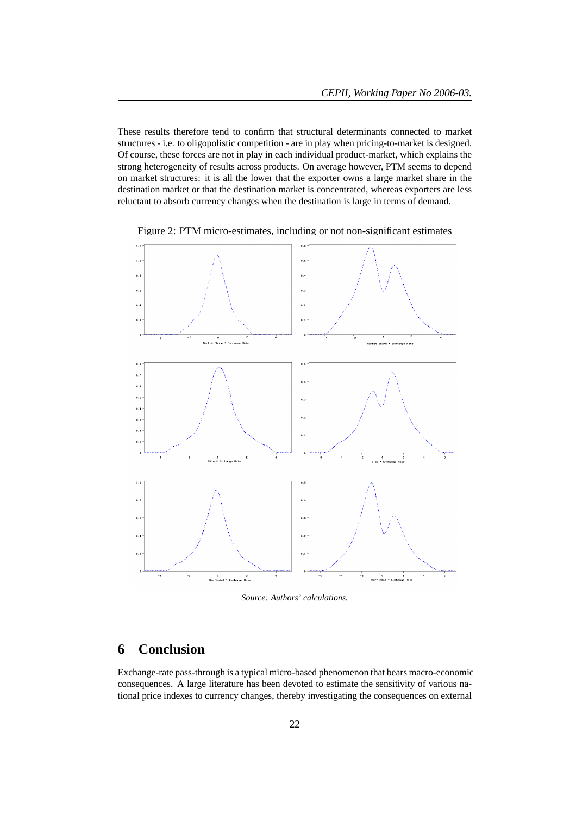These results therefore tend to confirm that structural determinants connected to market structures - i.e. to oligopolistic competition - are in play when pricing-to-market is designed. Of course, these forces are not in play in each individual product-market, which explains the strong heterogeneity of results across products. On average however, PTM seems to depend on market structures: it is all the lower that the exporter owns a large market share in the destination market or that the destination market is concentrated, whereas exporters are less reluctant to absorb currency changes when the destination is large in terms of demand.



Figure 2: PTM micro-estimates, including or not non-significant estimates

*Source: Authors' calculations.*

# **6 Conclusion**

Exchange-rate pass-through is a typical micro-based phenomenon that bears macro-economic consequences. A large literature has been devoted to estimate the sensitivity of various national price indexes to currency changes, thereby investigating the consequences on external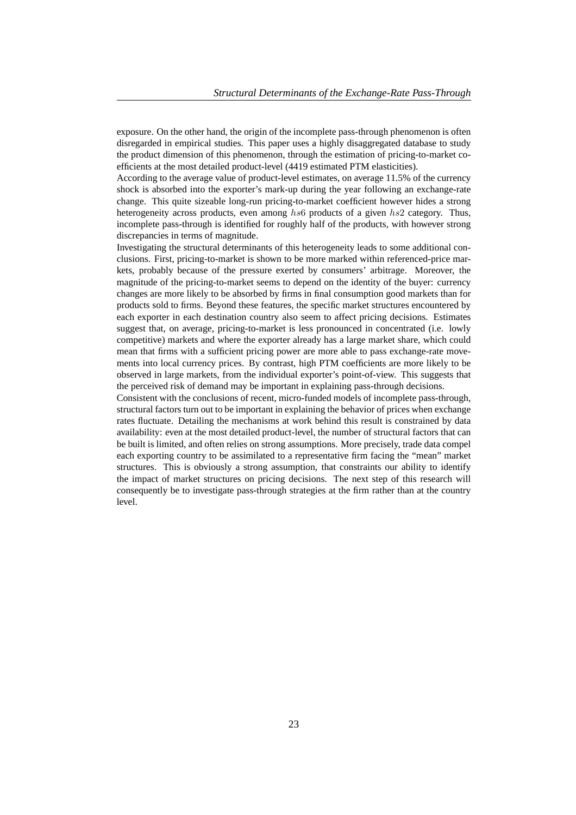exposure. On the other hand, the origin of the incomplete pass-through phenomenon is often disregarded in empirical studies. This paper uses a highly disaggregated database to study the product dimension of this phenomenon, through the estimation of pricing-to-market coefficients at the most detailed product-level (4419 estimated PTM elasticities).

According to the average value of product-level estimates, on average 11.5% of the currency shock is absorbed into the exporter's mark-up during the year following an exchange-rate change. This quite sizeable long-run pricing-to-market coefficient however hides a strong heterogeneity across products, even among hs6 products of a given hs2 category. Thus, incomplete pass-through is identified for roughly half of the products, with however strong discrepancies in terms of magnitude.

Investigating the structural determinants of this heterogeneity leads to some additional conclusions. First, pricing-to-market is shown to be more marked within referenced-price markets, probably because of the pressure exerted by consumers' arbitrage. Moreover, the magnitude of the pricing-to-market seems to depend on the identity of the buyer: currency changes are more likely to be absorbed by firms in final consumption good markets than for products sold to firms. Beyond these features, the specific market structures encountered by each exporter in each destination country also seem to affect pricing decisions. Estimates suggest that, on average, pricing-to-market is less pronounced in concentrated (i.e. lowly competitive) markets and where the exporter already has a large market share, which could mean that firms with a sufficient pricing power are more able to pass exchange-rate movements into local currency prices. By contrast, high PTM coefficients are more likely to be observed in large markets, from the individual exporter's point-of-view. This suggests that the perceived risk of demand may be important in explaining pass-through decisions.

Consistent with the conclusions of recent, micro-funded models of incomplete pass-through, structural factors turn out to be important in explaining the behavior of prices when exchange rates fluctuate. Detailing the mechanisms at work behind this result is constrained by data availability: even at the most detailed product-level, the number of structural factors that can be built is limited, and often relies on strong assumptions. More precisely, trade data compel each exporting country to be assimilated to a representative firm facing the "mean" market structures. This is obviously a strong assumption, that constraints our ability to identify the impact of market structures on pricing decisions. The next step of this research will consequently be to investigate pass-through strategies at the firm rather than at the country level.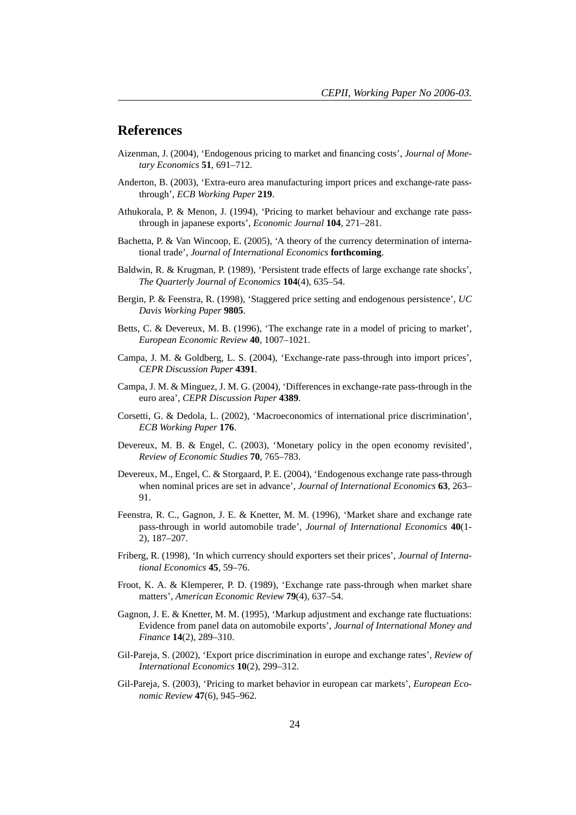## **References**

- Aizenman, J. (2004), 'Endogenous pricing to market and financing costs', *Journal of Monetary Economics* **51**, 691–712.
- Anderton, B. (2003), 'Extra-euro area manufacturing import prices and exchange-rate passthrough', *ECB Working Paper* **219**.
- Athukorala, P. & Menon, J. (1994), 'Pricing to market behaviour and exchange rate passthrough in japanese exports', *Economic Journal* **104**, 271–281.
- Bachetta, P. & Van Wincoop, E. (2005), 'A theory of the currency determination of international trade', *Journal of International Economics* **forthcoming**.
- Baldwin, R. & Krugman, P. (1989), 'Persistent trade effects of large exchange rate shocks', *The Quarterly Journal of Economics* **104**(4), 635–54.
- Bergin, P. & Feenstra, R. (1998), 'Staggered price setting and endogenous persistence', *UC Davis Working Paper* **9805**.
- Betts, C. & Devereux, M. B. (1996), 'The exchange rate in a model of pricing to market', *European Economic Review* **40**, 1007–1021.
- Campa, J. M. & Goldberg, L. S. (2004), 'Exchange-rate pass-through into import prices', *CEPR Discussion Paper* **4391**.
- Campa, J. M. & Minguez, J. M. G. (2004), 'Differences in exchange-rate pass-through in the euro area', *CEPR Discussion Paper* **4389**.
- Corsetti, G. & Dedola, L. (2002), 'Macroeconomics of international price discrimination', *ECB Working Paper* **176**.
- Devereux, M. B. & Engel, C. (2003), 'Monetary policy in the open economy revisited', *Review of Economic Studies* **70**, 765–783.
- Devereux, M., Engel, C. & Storgaard, P. E. (2004), 'Endogenous exchange rate pass-through when nominal prices are set in advance', *Journal of International Economics* **63**, 263– 91.
- Feenstra, R. C., Gagnon, J. E. & Knetter, M. M. (1996), 'Market share and exchange rate pass-through in world automobile trade', *Journal of International Economics* **40**(1- 2), 187–207.
- Friberg, R. (1998), 'In which currency should exporters set their prices', *Journal of International Economics* **45**, 59–76.
- Froot, K. A. & Klemperer, P. D. (1989), 'Exchange rate pass-through when market share matters', *American Economic Review* **79**(4), 637–54.
- Gagnon, J. E. & Knetter, M. M. (1995), 'Markup adjustment and exchange rate fluctuations: Evidence from panel data on automobile exports', *Journal of International Money and Finance* **14**(2), 289–310.
- Gil-Pareja, S. (2002), 'Export price discrimination in europe and exchange rates', *Review of International Economics* **10**(2), 299–312.
- Gil-Pareja, S. (2003), 'Pricing to market behavior in european car markets', *European Economic Review* **47**(6), 945–962.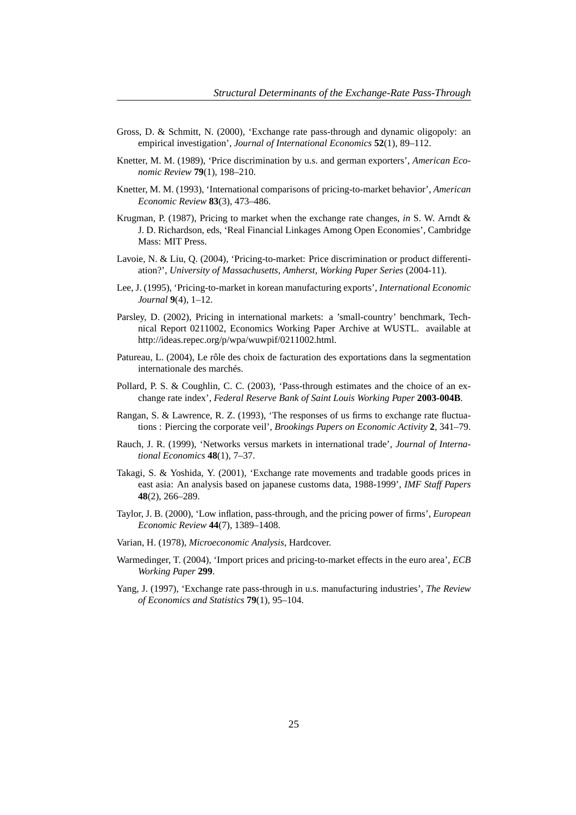- Gross, D. & Schmitt, N. (2000), 'Exchange rate pass-through and dynamic oligopoly: an empirical investigation', *Journal of International Economics* **52**(1), 89–112.
- Knetter, M. M. (1989), 'Price discrimination by u.s. and german exporters', *American Economic Review* **79**(1), 198–210.
- Knetter, M. M. (1993), 'International comparisons of pricing-to-market behavior', *American Economic Review* **83**(3), 473–486.
- Krugman, P. (1987), Pricing to market when the exchange rate changes, *in* S. W. Arndt & J. D. Richardson, eds, 'Real Financial Linkages Among Open Economies', Cambridge Mass: MIT Press.
- Lavoie, N. & Liu, Q. (2004), 'Pricing-to-market: Price discrimination or product differentiation?', *University of Massachusetts, Amherst, Working Paper Series* (2004-11).
- Lee, J. (1995), 'Pricing-to-market in korean manufacturing exports', *International Economic Journal* **9**(4), 1–12.
- Parsley, D. (2002), Pricing in international markets: a 'small-country' benchmark, Technical Report 0211002, Economics Working Paper Archive at WUSTL. available at http://ideas.repec.org/p/wpa/wuwpif/0211002.html.
- Patureau, L. (2004), Le rôle des choix de facturation des exportations dans la segmentation internationale des marchés.
- Pollard, P. S. & Coughlin, C. C. (2003), 'Pass-through estimates and the choice of an exchange rate index', *Federal Reserve Bank of Saint Louis Working Paper* **2003-004B**.
- Rangan, S. & Lawrence, R. Z. (1993), 'The responses of us firms to exchange rate fluctuations : Piercing the corporate veil', *Brookings Papers on Economic Activity* **2**, 341–79.
- Rauch, J. R. (1999), 'Networks versus markets in international trade', *Journal of International Economics* **48**(1), 7–37.
- Takagi, S. & Yoshida, Y. (2001), 'Exchange rate movements and tradable goods prices in east asia: An analysis based on japanese customs data, 1988-1999', *IMF Staff Papers* **48**(2), 266–289.
- Taylor, J. B. (2000), 'Low inflation, pass-through, and the pricing power of firms', *European Economic Review* **44**(7), 1389–1408.
- Varian, H. (1978), *Microeconomic Analysis*, Hardcover.
- Warmedinger, T. (2004), 'Import prices and pricing-to-market effects in the euro area', *ECB Working Paper* **299**.
- Yang, J. (1997), 'Exchange rate pass-through in u.s. manufacturing industries', *The Review of Economics and Statistics* **79**(1), 95–104.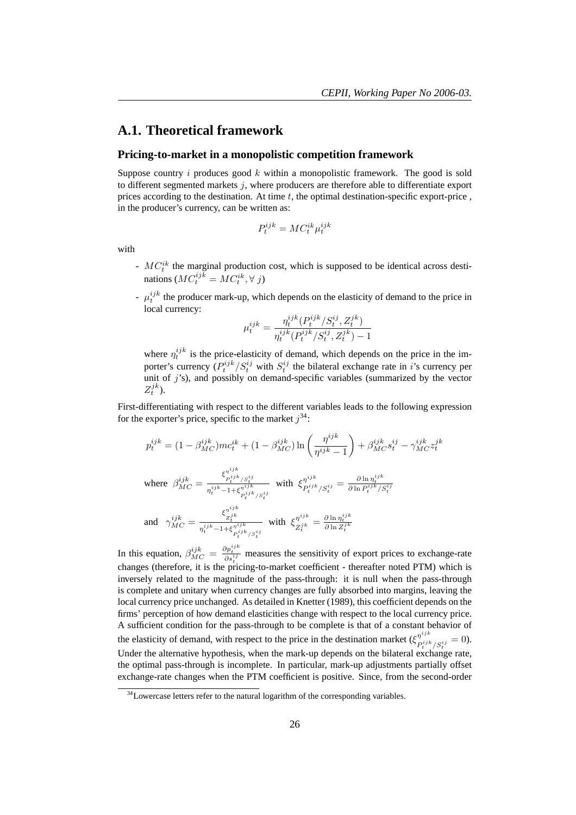## **A.1. Theoretical framework**

#### **Pricing-to-market in a monopolistic competition framework**

µ

Suppose country  $i$  produces good  $k$  within a monopolistic framework. The good is sold to different segmented markets  $j$ , where producers are therefore able to differentiate export prices according to the destination. At time  $t$ , the optimal destination-specific export-price , in the producer's currency, can be written as:

$$
P_t^{ijk} = MC_t^{ik} \mu_t^{ijk}
$$

with

- $-MC_t^{ik}$  the marginal production cost, which is supposed to be identical across destinations  $(MC_t^{ijk} = MC_t^{ik}, \forall j)$
- $\mu_t^{ijk}$  the producer mark-up, which depends on the elasticity of demand to the price in local currency:

$$
u_t^{ijk} = \frac{\eta_t^{ijk} (P_t^{ijk}/S_t^{ij}, Z_t^{jk})}{\eta_t^{ijk} (P_t^{ijk}/S_t^{ij}, Z_t^{jk}) - 1}
$$

where  $\eta_t^{ijk}$  is the price-elasticity of demand, which depends on the price in the importer's currency  $(P_t^{ijk}/S_t^{ij}$  with  $S_t^{ij}$  the bilateral exchange rate in *i*'s currency per unit of  $j$ 's), and possibly on demand-specific variables (summarized by the vector  $Z_t^{jk}$ ).

First-differentiating with respect to the different variables leads to the following expression for the exporter's price, specific to the market  $j^{34}$ :

$$
p_{t}^{ijk} = (1 - \beta_{MC}^{ijk})mc_{t}^{ik} + (1 - \beta_{MC}^{ijk})\ln\left(\frac{\eta^{ijk}}{\eta^{ijk} - 1}\right) + \beta_{MC}^{ijk}s_{t}^{ij} - \gamma_{MC}^{ijk}z_{t}^{jk}
$$
  
\nwhere 
$$
\beta_{MC}^{ijk} = \frac{\xi_{p_{t}^{ijk}/S_{t}^{ij}}^{\eta^{ijk}}}{\eta_{t}^{ijk} - 1 + \xi_{p_{t}^{ijk}/S_{t}^{ij}}^{\eta^{ijk}}} \quad \text{with} \quad \xi_{p_{t}^{ijk}/S_{t}^{ij}}^{\eta^{ijk}} = \frac{\partial \ln \eta_{t}^{ijk}}{\partial \ln P_{t}^{ijk}/S_{t}^{ij}}
$$
  
\nand 
$$
\gamma_{MC}^{ijk} = \frac{\xi_{z_{t}^{ik}}^{\eta^{ijk}}}{\eta_{t}^{ijk} - 1 + \xi_{p_{t}^{ijk}/S_{t}^{ij}}^{\eta^{ijk}}} \quad \text{with} \quad \xi_{Z_{t}^{jk}}^{\eta^{ijk}} = \frac{\partial \ln \eta_{t}^{ijk}}{\partial \ln Z_{t}^{jk}}
$$

In this equation,  $\beta_{MC}^{ijk} = \frac{\partial p_i^{ijk}}{\partial s_i^{ij}}$  measures the sensitivity of export prices to exchange-rate changes (therefore, it is the pricing-to-market coefficient - thereafter noted PTM) which is inversely related to the magnitude of the pass-through: it is null when the pass-through is complete and unitary when currency changes are fully absorbed into margins, leaving the local currency price unchanged. As detailed in Knetter (1989), this coefficient depends on the firms' perception of how demand elasticities change with respect to the local currency price. A sufficient condition for the pass-through to be complete is that of a constant behavior of the elasticity of demand, with respect to the price in the destination market  $(\xi_{nij}^{njik})$  $\frac{\eta^{s}}{P_t^{ijk}}/S_t^{ij} = 0.$ Under the alternative hypothesis, when the mark-up depends on the bilateral exchange rate, the optimal pass-through is incomplete. In particular, mark-up adjustments partially offset exchange-rate changes when the PTM coefficient is positive. Since, from the second-order

 $34$ Lowercase letters refer to the natural logarithm of the corresponding variables.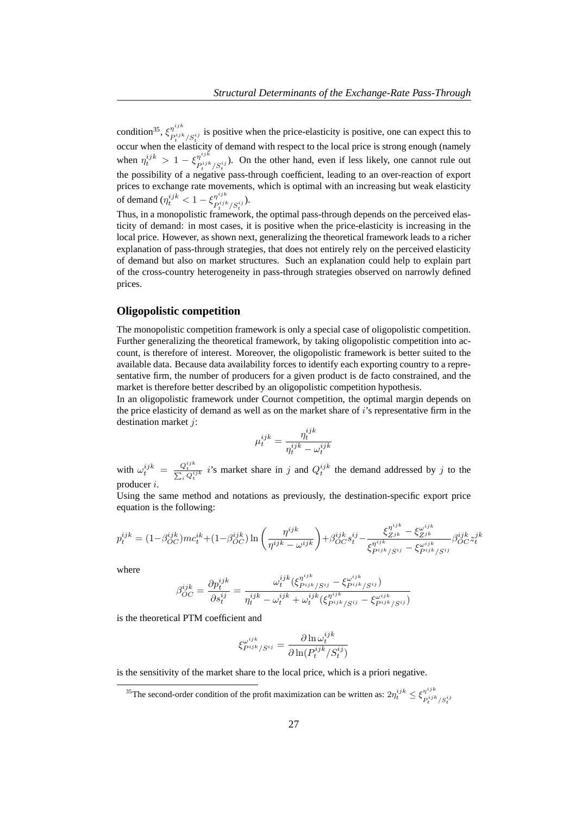condition<sup>35</sup>,  $\xi_{\textbf{p}ijk}^{\eta^{ijk}}$  $P_i^{j,m}$  is positive when the price-elasticity is positive, one can expect this to  $P_i^{ijk}/S_i^{ij}$ occur when the elasticity of demand with respect to the local price is strong enough (namely when  $\eta_t^{ijk} > 1 - \xi_{P^{ijk}}^{\eta^{ijk}}$  $P_i^{ij,k} / S_i^{ij}$ ). On the other hand, even if less likely, one cannot rule out the possibility of a negative pass-through coefficient, leading to an over-reaction of export prices to exchange rate movements, which is optimal with an increasing but weak elasticity of demand ( $\eta_t^{ijk} < 1 - \xi_{P^{ijk}}^{\eta^{ijk}}$  $\frac{\eta}{P_t^{ijk}/S_t^{ij}}$ ).

Thus, in a monopolistic framework, the optimal pass-through depends on the perceived elasticity of demand: in most cases, it is positive when the price-elasticity is increasing in the local price. However, as shown next, generalizing the theoretical framework leads to a richer explanation of pass-through strategies, that does not entirely rely on the perceived elasticity of demand but also on market structures. Such an explanation could help to explain part of the cross-country heterogeneity in pass-through strategies observed on narrowly defined prices.

## **Oligopolistic competition**

The monopolistic competition framework is only a special case of oligopolistic competition. Further generalizing the theoretical framework, by taking oligopolistic competition into account, is therefore of interest. Moreover, the oligopolistic framework is better suited to the available data. Because data availability forces to identify each exporting country to a representative firm, the number of producers for a given product is de facto constrained, and the market is therefore better described by an oligopolistic competition hypothesis.

In an oligopolistic framework under Cournot competition, the optimal margin depends on the price elasticity of demand as well as on the market share of i's representative firm in the destination market j:

$$
\mu_t^{ijk} = \frac{\eta_t^{ijk}}{\eta_t^{ijk} - \omega_t^{ijk}}
$$

with  $\omega_t^{ijk} = \frac{Q_t^{ijk}}{\sum_i Q_t^{ijk}} i$ 's market share in j and  $Q_t^{ijk}$  the demand addressed by j to the producer i.

Using the same method and notations as previously, the destination-specific export price equation is the following:

$$
p_t^{ijk} = (1 - \beta_{OC}^{ijk})mc_t^{ik} + (1 - \beta_{OC}^{ijk})\ln\left(\frac{\eta^{ijk}}{\eta^{ijk} - \omega^{ijk}}\right) + \beta_{OC}^{ijk}s_t^{ij} - \frac{\xi_{Z^{jk}}^{\eta^{ijk}} - \xi_{Z^{jk}}^{\omega^{ijk}}}{\xi_{P^{ijk}/S^{ij}}^{\eta^{ijk}} - \xi_{P^{ijk}/S^{ij}}^{\omega^{ijk}}} \beta_{OC}^{ijk}z_t^{jk}
$$

where

$$
\beta_{OC}^{ijk} = \frac{\partial p_t^{ijk}}{\partial s_t^{ij}} = \frac{\omega_t^{ijk} (\xi_{P^{ijk}/S^{ij}}^{n^{ijk}} - \xi_{P^{ijk}/S^{ij}}^{\omega^{ijk}})}{\eta_t^{ijk} - \omega_t^{ijk} + \omega_t^{ijk} (\xi_{P^{ijk}/S^{ij}}^{n^{ijk}} - \xi_{P^{ijk}/S^{ij}}^{\omega^{ijk}})}
$$

is the theoretical PTM coefficient and

$$
\xi_{P^{ijk}/S^{ij}}^{\omega^{ijk}} = \frac{\partial \ln \omega_t^{ijk}}{\partial \ln(P_t^{ijk}/S_t^{ij})}
$$

is the sensitivity of the market share to the local price, which is a priori negative.

<sup>&</sup>lt;sup>35</sup>The second-order condition of the profit maximization can be written as:  $2\eta_t^{ijk} \leq \xi_{pijk}^{\eta^{ijk}}$  $P_t^{ijk}/S_t^{ij}$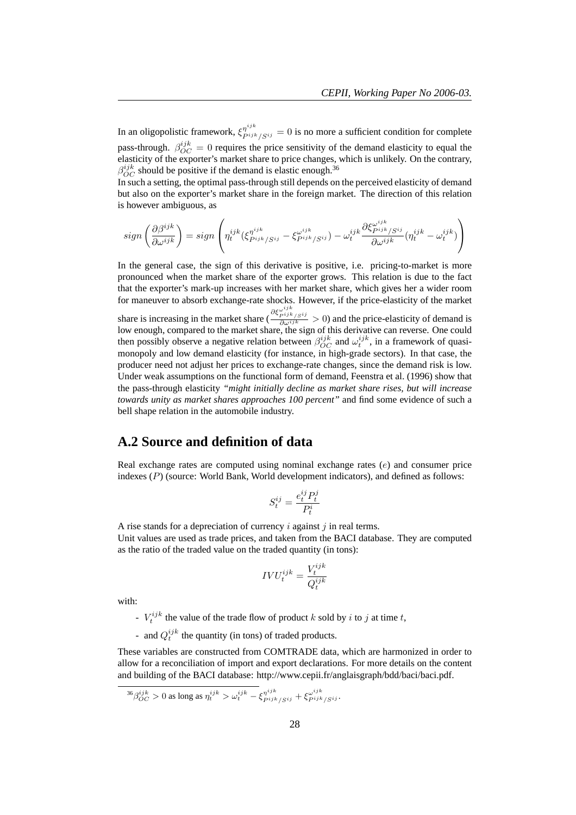In an oligopolistic framework,  $\xi_{P^{ijk}/S^{ij}}^{n^{ijk}} = 0$  is no more a sufficient condition for complete pass-through.  $\beta_{OC}^{ijk} = 0$  requires the price sensitivity of the demand elasticity to equal the elasticity of the exporter's market share to price changes, which is unlikely. On the contrary,  $\beta_{OC}^{ijk}$  should be positive if the demand is elastic enough.<sup>36</sup>

In such a setting, the optimal pass-through still depends on the perceived elasticity of demand but also on the exporter's market share in the foreign market. The direction of this relation is however ambiguous, as

$$
sign\left(\frac{\partial\beta^{ijk}}{\partial\omega^{ijk}}\right) = sign\left(\eta_t^{ijk}(\xi_{P^{ijk}/S^{ij}}^{\eta^{ijk}} - \xi_{P^{ijk}/S^{ij}}^{\omega^{ijk}}) - \omega_t^{ijk}\frac{\partial\xi_{P^{ijk}/S^{ij}}^{\omega^{ijk}}(\eta_t^{ijk} - \omega_t^{ijk})}{\partial\omega^{ijk}}\right)
$$

In the general case, the sign of this derivative is positive, i.e. pricing-to-market is more pronounced when the market share of the exporter grows. This relation is due to the fact that the exporter's mark-up increases with her market share, which gives her a wider room for maneuver to absorb exchange-rate shocks. However, if the price-elasticity of the market share is increasing in the market share (  $\frac{\partial \xi_{piijk}^{\omega ijk}}{\partial \omega^{ijk}} > 0$  and the price-elasticity of demand is low enough, compared to the market share, the sign of this derivative can reverse. One could then possibly observe a negative relation between  $\beta_{OC}^{ijk}$  and  $\omega_t^{ijk}$ , in a framework of quasimonopoly and low demand elasticity (for instance, in high-grade sectors). In that case, the producer need not adjust her prices to exchange-rate changes, since the demand risk is low. Under weak assumptions on the functional form of demand, Feenstra et al. (1996) show that the pass-through elasticity *"might initially decline as market share rises, but will increase towards unity as market shares approaches 100 percent"* and find some evidence of such a bell shape relation in the automobile industry.

# **A.2 Source and definition of data**

Real exchange rates are computed using nominal exchange rates (e) and consumer price indexes  $(P)$  (source: World Bank, World development indicators), and defined as follows:

$$
S_t^{ij} = \frac{e_t^{ij} P_t^j}{P_t^i}
$$

A rise stands for a depreciation of currency  $i$  against  $j$  in real terms. Unit values are used as trade prices, and taken from the BACI database. They are computed as the ratio of the traded value on the traded quantity (in tons):

$$
IVU_t^{ijk} = \frac{V_t^{ijk}}{Q_t^{ijk}}
$$

with:

- $V_t^{ijk}$  the value of the trade flow of product k sold by i to j at time t,
- and  $Q_t^{ijk}$  the quantity (in tons) of traded products.

These variables are constructed from COMTRADE data, which are harmonized in order to allow for a reconciliation of import and export declarations. For more details on the content and building of the BACI database: http://www.cepii.fr/anglaisgraph/bdd/baci/baci.pdf.

$$
^{36}\beta_{OC}^{ijk} > 0
$$
 as long as  $\eta_t^{ijk} > \omega_t^{ijk} - \xi_{Pijk/Sij}^{\eta^{ijk}} + \xi_{Pijk/Sij}^{\omega^{ijk}}$ .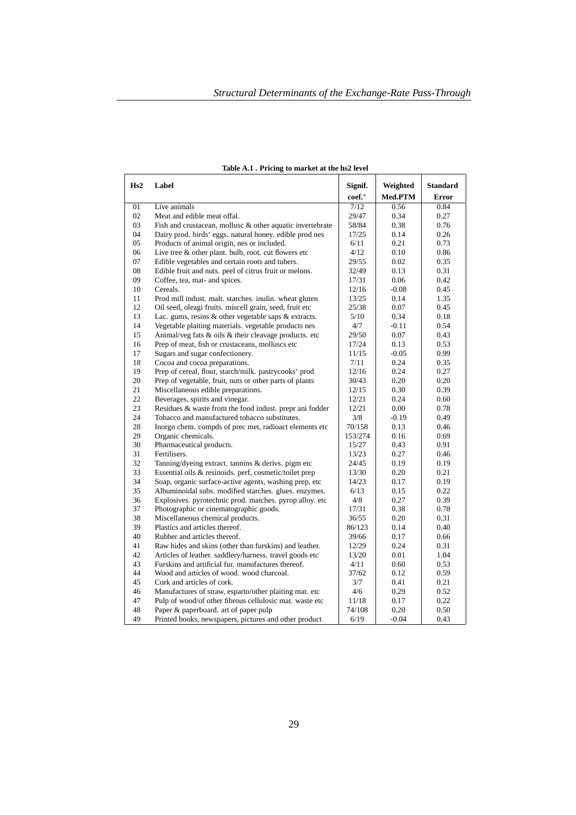| Hs2 | Label                                                     | Signif. | Weighted | <b>Standard</b> |
|-----|-----------------------------------------------------------|---------|----------|-----------------|
|     |                                                           | coef.*  | Med.PTM  | <b>Error</b>    |
| 01  | Live animals                                              | 7/12    | 0.56     | 0.84            |
| 02  | Meat and edible meat offal.                               | 29/47   | 0.34     | 0.27            |
| 03  | Fish and crustacean, mollusc & other aquatic invertebrate | 58/84   | 0.38     | 0.76            |
| 04  | Dairy prod. birds' eggs. natural honey. edible prod nes   | 17/25   | 0.14     | 0.26            |
| 05  | Products of animal origin, nes or included.               | 6/11    | 0.21     | 0.73            |
| 06  | Live tree $\&$ other plant. bulb, root. cut flowers etc   | 4/12    | 0.10     | 0.86            |
| 07  | Edible vegetables and certain roots and tubers.           | 29/55   | 0.02     | 0.35            |
| 08  | Edible fruit and nuts. peel of citrus fruit or melons.    | 32/49   | 0.13     | 0.31            |
| 09  | Coffee, tea, mat- and spices.                             | 17/31   | 0.06     | 0.42            |
| 10  | Cereals.                                                  | 12/16   | $-0.08$  | 0.45            |
| 11  | Prod mill indust. malt. starches. inulin. wheat gluten    | 13/25   | 0.14     | 1.35            |
| 12  | Oil seed, oleagi fruits. miscell grain, seed, fruit etc   | 25/38   | 0.07     | 0.45            |
| 13  | Lac. gums, resins $&$ other vegetable saps $&$ extracts.  | 5/10    | 0.34     | 0.18            |
| 14  | Vegetable plaiting materials. vegetable products nes      | 4/7     | $-0.11$  | 0.54            |
| 15  | Animal/veg fats & oils & their cleavage products. etc     | 29/50   | 0.07     | 0.43            |
| 16  | Prep of meat, fish or crustaceans, molluscs etc           | 17/24   | 0.13     | 0.53            |
| 17  | Sugars and sugar confectionery.                           | 11/15   | $-0.05$  | 0.99            |
| 18  | Cocoa and cocoa preparations.                             | 7/11    | 0.24     | 0.35            |
| 19  | Prep of cereal, flour, starch/milk. pastrycooks' prod     | 12/16   | 0.24     | 0.27            |
| 20  | Prep of vegetable, fruit, nuts or other parts of plants   | 30/43   | 0.20     | 0.20            |
| 21  | Miscellaneous edible preparations.                        | 12/15   | 0.30     | 0.39            |
| 22  | Beverages, spirits and vinegar.                           | 12/21   | 0.24     | 0.60            |
| 23  | Residues & waste from the food indust. prepr ani fodder   | 12/21   | 0.00     | 0.78            |
| 24  | Tobacco and manufactured tobacco substitutes.             | 3/8     | $-0.19$  | 0.49            |
| 28  | Inorgn chem. compds of prec met, radioact elements etc    | 70/158  | 0.13     | 0.46            |
| 29  | Organic chemicals.                                        | 153/274 | 0.16     | 0.69            |
| 30  | Pharmaceutical products.                                  | 15/27   | 0.43     | 0.91            |
| 31  | Fertilisers.                                              | 13/23   | 0.27     | 0.46            |
| 32  | Tanning/dyeing extract. tannins & derivs. pigm etc        | 24/45   | 0.19     | 0.19            |
| 33  | Essential oils & resinoids. perf, cosmetic/toilet prep    | 13/30   | 0.20     | 0.21            |
| 34  | Soap, organic surface-active agents, washing prep, etc.   | 14/23   | 0.17     | 0.19            |
| 35  | Albuminoidal subs. modified starches. glues. enzymes.     | 6/13    | 0.15     | 0.22            |
| 36  | Explosives. pyrotechnic prod. matches. pyrop alloy. etc   | 4/8     | 0.27     | 0.39            |
| 37  | Photographic or cinematographic goods.                    | 17/31   | 0.38     | 0.78            |
| 38  | Miscellaneous chemical products.                          | 36/55   | 0.20     | 0.31            |
| 39  | Plastics and articles thereof.                            | 86/123  | 0.14     | 0.40            |
| 40  | Rubber and articles thereof.                              | 39/66   | 0.17     | 0.66            |
| 41  | Raw hides and skins (other than furskins) and leather.    | 12/29   | 0.24     | 0.31            |
| 42  | Articles of leather. saddlery/harness. travel goods etc   | 13/20   | 0.01     | 1.04            |
| 43  | Furskins and artificial fur. manufactures thereof.        | 4/11    | 0.60     | 0.53            |
| 44  | Wood and articles of wood, wood charcoal.                 | 37/62   | 0.12     | 0.59            |
| 45  | Cork and articles of cork.                                | 3/7     | 0.41     | 0.21            |
| 46  | Manufactures of straw, esparto/other plaiting mat. etc    | 4/6     | 0.29     | 0.52            |
| 47  | Pulp of wood/of other fibrous cellulosic mat. waste etc   | 11/18   | 0.17     | 0.22            |
| 48  | Paper & paperboard. art of paper pulp                     | 74/108  | 0.20     | 0.50            |
| 49  | Printed books, newspapers, pictures and other product     | 6/19    | $-0.04$  | 0.43            |

| Table A.1. Pricing to market at the hs2 level |
|-----------------------------------------------|
|-----------------------------------------------|

 $\Gamma$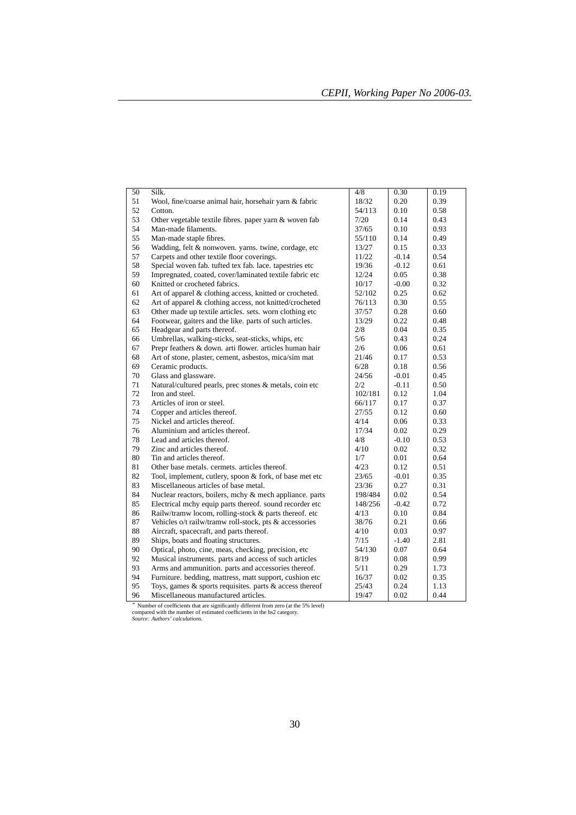| $\overline{50}$ | Silk.                                                         | 4/8     | 0.30    | 0.19 |
|-----------------|---------------------------------------------------------------|---------|---------|------|
| 51              | Wool, fine/coarse animal hair, horsehair yarn & fabric        | 18/32   | 0.20    | 0.39 |
| 52              | Cotton.                                                       | 54/113  | 0.10    | 0.58 |
| 53              | Other vegetable textile fibres. paper yarn & woven fab        | 7/20    | 0.14    | 0.43 |
| 54              | Man-made filaments.                                           | 37/65   | 0.10    | 0.93 |
| 55              | Man-made staple fibres.                                       | 55/110  | 0.14    | 0.49 |
| 56              | Wadding, felt & nonwoven. yarns. twine, cordage, etc          | 13/27   | 0.15    | 0.33 |
| 57              | Carpets and other textile floor coverings.                    | 11/22   | $-0.14$ | 0.54 |
| 58              | Special woven fab. tufted tex fab. lace. tapestries etc       | 19/36   | $-0.12$ | 0.61 |
| 59              | Impregnated, coated, cover/laminated textile fabric etc       | 12/24   | 0.05    | 0.38 |
| 60              | Knitted or crocheted fabrics.                                 | 10/17   | $-0.00$ | 0.32 |
| 61              | Art of apparel & clothing access, knitted or crocheted.       | 52/102  | 0.25    | 0.62 |
| 62              | Art of apparel & clothing access, not knitted/crocheted       | 76/113  | 0.30    | 0.55 |
| 63              | Other made up textile articles, sets, worn clothing etc       | 37/57   | 0.28    | 0.60 |
| 64              | Footwear, gaiters and the like. parts of such articles.       | 13/29   | 0.22    | 0.48 |
| 65              | Headgear and parts thereof.                                   | 2/8     | 0.04    | 0.35 |
| 66              | Umbrellas, walking-sticks, seat-sticks, whips, etc            | 5/6     | 0.43    | 0.24 |
| 67              | Prepr feathers & down. arti flower. articles human hair       | 2/6     | 0.06    | 0.61 |
| 68              | Art of stone, plaster, cement, asbestos, mica/sim mat         | 21/46   | 0.17    | 0.53 |
| 69              | Ceramic products.                                             | 6/28    | 0.18    | 0.56 |
| 70              | Glass and glassware.                                          | 24/56   | $-0.01$ | 0.45 |
| 71              | Natural/cultured pearls, prec stones & metals, coin etc       | 2/2     | $-0.11$ | 0.50 |
| 72              | Iron and steel.                                               | 102/181 | 0.12    | 1.04 |
| 73              | Articles of iron or steel.                                    | 66/117  | 0.17    | 0.37 |
| 74              | Copper and articles thereof.                                  | 27/55   | 0.12    | 0.60 |
| 75              | Nickel and articles thereof.                                  | 4/14    | 0.06    | 0.33 |
| 76              | Aluminium and articles thereof.                               | 17/34   | 0.02    | 0.29 |
| 78              | Lead and articles thereof.                                    | 4/8     | $-0.10$ | 0.53 |
| 79              | Zinc and articles thereof.                                    | 4/10    | 0.02    | 0.32 |
| 80              | Tin and articles thereof.                                     | 1/7     | 0.01    | 0.64 |
| 81              | Other base metals. cermets. articles thereof.                 | 4/23    | 0.12    | 0.51 |
| 82              | Tool, implement, cutlery, spoon & fork, of base met etc       | 23/65   | $-0.01$ | 0.35 |
| 83              | Miscellaneous articles of base metal.                         | 23/36   | 0.27    | 0.31 |
| 84              | Nuclear reactors, boilers, mchy & mech appliance. parts       | 198/484 | 0.02    | 0.54 |
| 85              | Electrical mchy equip parts thereof, sound recorder etc.      | 148/256 | $-0.42$ | 0.72 |
| 86              | Railw/tramw locom, rolling-stock & parts thereof. etc         | 4/13    | 0.10    | 0.84 |
| 87              | Vehicles o/t railw/tramw roll-stock, pts & accessories        | 38/76   | 0.21    | 0.66 |
| 88              | Aircraft, spacecraft, and parts thereof.                      | 4/10    | 0.03    | 0.97 |
| 89              | Ships, boats and floating structures.                         | 7/15    | $-1.40$ | 2.81 |
| 90              | Optical, photo, cine, meas, checking, precision, etc.         | 54/130  | 0.07    | 0.64 |
| 92              | Musical instruments. parts and access of such articles        | 8/19    | 0.08    | 0.99 |
| 93              | Arms and ammunition. parts and accessories thereof.           | 5/11    | 0.29    | 1.73 |
| 94              | Furniture. bedding, mattress, matt support, cushion etc       | 16/37   | 0.02    | 0.35 |
| 95              | Toys, games $\&$ sports requisites. parts $\&$ access thereof | 25/43   | 0.24    | 1.13 |
| 96              | Miscellaneous manufactured articles.                          | 19/47   | 0.02    | 0.44 |

<sup>∗</sup> Number of coefficients that are significantly different from zero (at the 5% level) compared with the number of estimated coefficients in the hs2 category. *Source: Authors' calculations.*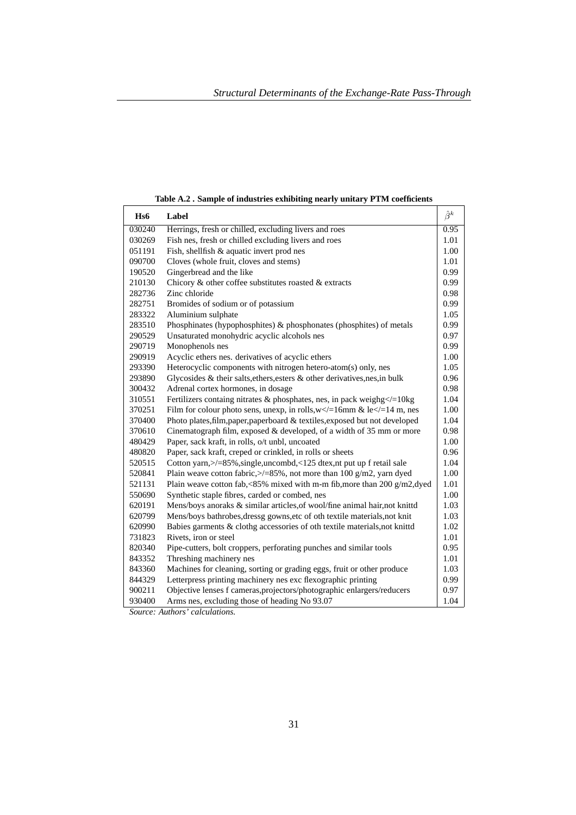| H <sub>s</sub> 6 | Label                                                                           | $\hat{\beta}^k$ |
|------------------|---------------------------------------------------------------------------------|-----------------|
| 030240           | Herrings, fresh or chilled, excluding livers and roes                           | 0.95            |
| 030269           | Fish nes, fresh or chilled excluding livers and roes                            | 1.01            |
| 051191           | Fish, shellfish & aquatic invert prod nes                                       | 1.00            |
| 090700           | Cloves (whole fruit, cloves and stems)                                          | 1.01            |
| 190520           | Gingerbread and the like                                                        | 0.99            |
| 210130           | Chicory & other coffee substitutes roasted & extracts                           | 0.99            |
| 282736           | Zinc chloride                                                                   | 0.98            |
| 282751           | Bromides of sodium or of potassium                                              | 0.99            |
| 283322           | Aluminium sulphate                                                              | 1.05            |
| 283510           | Phosphinates (hypophosphites) & phosphonates (phosphites) of metals             | 0.99            |
| 290529           | Unsaturated monohydric acyclic alcohols nes                                     | 0.97            |
| 290719           | Monophenols nes                                                                 | 0.99            |
| 290919           | Acyclic ethers nes. derivatives of acyclic ethers                               | 1.00            |
| 293390           | Heterocyclic components with nitrogen hetero-atom(s) only, nes                  | 1.05            |
| 293890           | Glycosides & their salts, ethers, esters & other derivatives, nes, in bulk      | 0.96            |
| 300432           | Adrenal cortex hormones, in dosage                                              | 0.98            |
| 310551           | Fertilizers containg nitrates & phosphates, nes, in pack weighg $\le$ = 10kg    | 1.04            |
| 370251           | Film for colour photo sens, unexp, in rolls, $w \ll 16$ mm & le $\ll 14$ m, nes | 1.00            |
| 370400           | Photo plates, film, paper, paperboard & textiles, exposed but not developed     | 1.04            |
| 370610           | Cinematograph film, exposed & developed, of a width of 35 mm or more            | 0.98            |
| 480429           | Paper, sack kraft, in rolls, o/t unbl, uncoated                                 | 1.00            |
| 480820           | Paper, sack kraft, creped or crinkled, in rolls or sheets                       | 0.96            |
| 520515           | Cotton yarn, >/=85%, single, uncombd, <125 dtex, nt put up f retail sale        | 1.04            |
| 520841           | Plain weave cotton fabric, $>$ /=85%, not more than 100 g/m2, yarn dyed         | 1.00            |
| 521131           | Plain weave cotton fab,<85% mixed with m-m fib, more than 200 g/m2, dyed        | 1.01            |
| 550690           | Synthetic staple fibres, carded or combed, nes                                  | 1.00            |
| 620191           | Mens/boys anoraks & similar articles, of wool/fine animal hair, not knittd      | 1.03            |
| 620799           | Mens/boys bathrobes, dressg gowns, etc of oth textile materials, not knit       | 1.03            |
| 620990           | Babies garments & clothg accessories of oth textile materials, not knittd       | 1.02            |
| 731823           | Rivets, iron or steel                                                           | 1.01            |
| 820340           | Pipe-cutters, bolt croppers, perforating punches and similar tools              | 0.95            |
| 843352           | Threshing machinery nes                                                         | 1.01            |
| 843360           | Machines for cleaning, sorting or grading eggs, fruit or other produce          | 1.03            |
| 844329           | Letterpress printing machinery nes exc flexographic printing                    | 0.99            |
| 900211           | Objective lenses f cameras, projectors/photographic enlargers/reducers          | 0.97            |
| 930400           | Arms nes, excluding those of heading No 93.07                                   | 1.04            |

**Table A.2 . Sample of industries exhibiting nearly unitary PTM coefficients**

*Source: Authors' calculations.*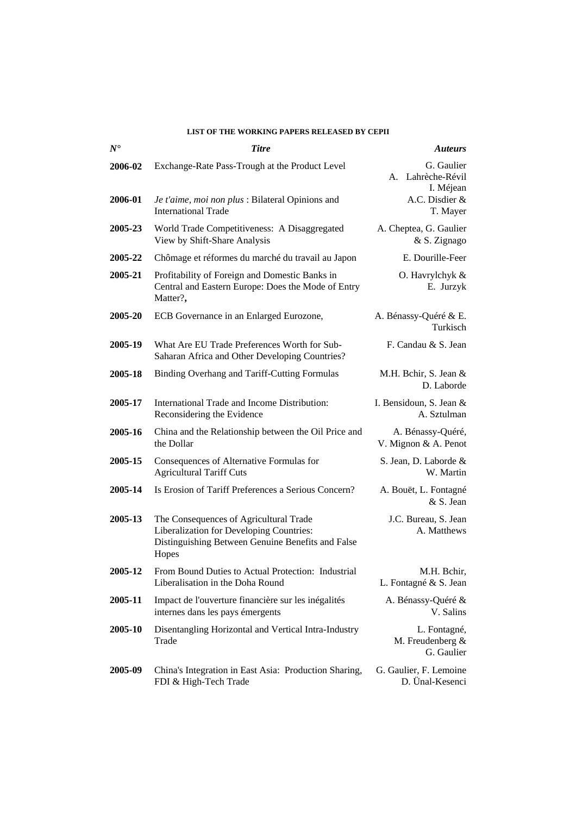## **LIST OF THE WORKING PAPERS RELEASED BY CEPII**

| $N^{\bullet}$ | <b>Titre</b>                                                                                                                                     | <b>Auteurs</b>                                 |
|---------------|--------------------------------------------------------------------------------------------------------------------------------------------------|------------------------------------------------|
| 2006-02       | Exchange-Rate Pass-Trough at the Product Level                                                                                                   | G. Gaulier<br>A. Lahrèche-Révil<br>I. Méjean   |
| 2006-01       | Je t'aime, moi non plus : Bilateral Opinions and<br><b>International Trade</b>                                                                   | A.C. Disdier &<br>T. Mayer                     |
| 2005-23       | World Trade Competitiveness: A Disaggregated<br>View by Shift-Share Analysis                                                                     | A. Cheptea, G. Gaulier<br>& S. Zignago         |
| 2005-22       | Chômage et réformes du marché du travail au Japon                                                                                                | E. Dourille-Feer                               |
| 2005-21       | Profitability of Foreign and Domestic Banks in<br>Central and Eastern Europe: Does the Mode of Entry<br>Matter?,                                 | O. Havrylchyk &<br>E. Jurzyk                   |
| 2005-20       | ECB Governance in an Enlarged Eurozone,                                                                                                          | A. Bénassy-Quéré & E.<br>Turkisch              |
| 2005-19       | What Are EU Trade Preferences Worth for Sub-<br>Saharan Africa and Other Developing Countries?                                                   | F. Candau & S. Jean                            |
| 2005-18       | Binding Overhang and Tariff-Cutting Formulas                                                                                                     | M.H. Bchir, S. Jean &<br>D. Laborde            |
| 2005-17       | International Trade and Income Distribution:<br>Reconsidering the Evidence                                                                       | I. Bensidoun, S. Jean &<br>A. Sztulman         |
| 2005-16       | China and the Relationship between the Oil Price and<br>the Dollar                                                                               | A. Bénassy-Quéré,<br>V. Mignon & A. Penot      |
| 2005-15       | Consequences of Alternative Formulas for<br><b>Agricultural Tariff Cuts</b>                                                                      | S. Jean, D. Laborde &<br>W. Martin             |
| 2005-14       | Is Erosion of Tariff Preferences a Serious Concern?                                                                                              | A. Bouët, L. Fontagné<br>& S. Jean             |
| 2005-13       | The Consequences of Agricultural Trade<br>Liberalization for Developing Countries:<br>Distinguishing Between Genuine Benefits and False<br>Hopes | J.C. Bureau, S. Jean<br>A. Matthews            |
| 2005-12       | From Bound Duties to Actual Protection: Industrial<br>Liberalisation in the Doha Round                                                           | M.H. Bchir,<br>L. Fontagné & S. Jean           |
| 2005-11       | Impact de l'ouverture financière sur les inégalités<br>internes dans les pays émergents                                                          | A. Bénassy-Quéré &<br>V. Salins                |
| 2005-10       | Disentangling Horizontal and Vertical Intra-Industry<br>Trade                                                                                    | L. Fontagné,<br>M. Freudenberg &<br>G. Gaulier |
| 2005-09       | China's Integration in East Asia: Production Sharing,<br>FDI & High-Tech Trade                                                                   | G. Gaulier, F. Lemoine<br>D. Ünal-Kesenci      |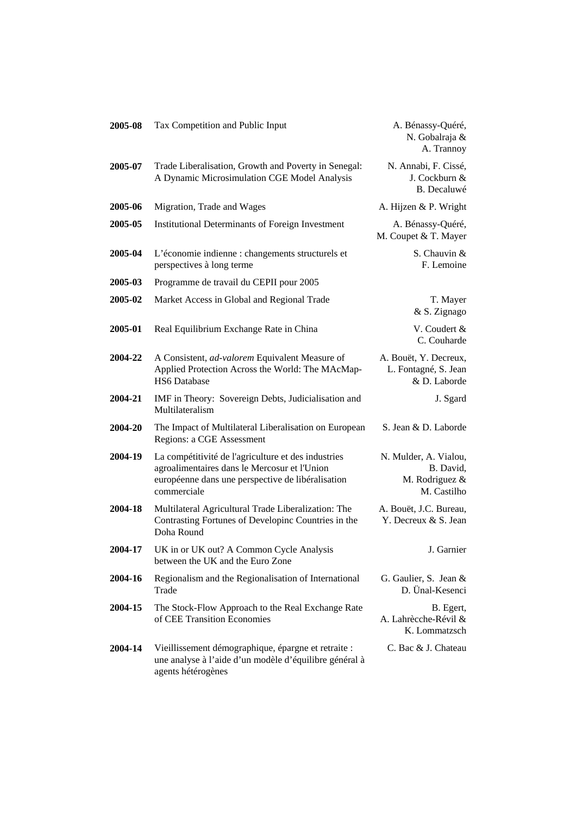| 2005-08 | Tax Competition and Public Input                                                                                                                                        | A. Bénassy-Quéré,<br>N. Gobalraja &<br>A. Trannoy                   |
|---------|-------------------------------------------------------------------------------------------------------------------------------------------------------------------------|---------------------------------------------------------------------|
| 2005-07 | Trade Liberalisation, Growth and Poverty in Senegal:<br>A Dynamic Microsimulation CGE Model Analysis                                                                    | N. Annabi, F. Cissé,<br>J. Cockburn &<br>B. Decaluwé                |
| 2005-06 | Migration, Trade and Wages                                                                                                                                              | A. Hijzen & P. Wright                                               |
| 2005-05 | <b>Institutional Determinants of Foreign Investment</b>                                                                                                                 | A. Bénassy-Quéré,<br>M. Coupet & T. Mayer                           |
| 2005-04 | L'économie indienne : changements structurels et<br>perspectives à long terme                                                                                           | S. Chauvin &<br>F. Lemoine                                          |
| 2005-03 | Programme de travail du CEPII pour 2005                                                                                                                                 |                                                                     |
| 2005-02 | Market Access in Global and Regional Trade                                                                                                                              | T. Mayer<br>& S. Zignago                                            |
| 2005-01 | Real Equilibrium Exchange Rate in China                                                                                                                                 | V. Coudert &<br>C. Couharde                                         |
| 2004-22 | A Consistent, ad-valorem Equivalent Measure of<br>Applied Protection Across the World: The MAcMap-<br><b>HS6</b> Database                                               | A. Bouët, Y. Decreux,<br>L. Fontagné, S. Jean<br>& D. Laborde       |
| 2004-21 | IMF in Theory: Sovereign Debts, Judicialisation and<br>Multilateralism                                                                                                  | J. Sgard                                                            |
| 2004-20 | The Impact of Multilateral Liberalisation on European<br>Regions: a CGE Assessment                                                                                      | S. Jean & D. Laborde                                                |
| 2004-19 | La compétitivité de l'agriculture et des industries<br>agroalimentaires dans le Mercosur et l'Union<br>européenne dans une perspective de libéralisation<br>commerciale | N. Mulder, A. Vialou,<br>B. David,<br>M. Rodriguez &<br>M. Castilho |
| 2004-18 | Multilateral Agricultural Trade Liberalization: The<br>Contrasting Fortunes of Developinc Countries in the<br>Doha Round                                                | A. Bouët, J.C. Bureau,<br>Y. Decreux & S. Jean                      |
| 2004-17 | UK in or UK out? A Common Cycle Analysis<br>between the UK and the Euro Zone                                                                                            | J. Garnier                                                          |
| 2004-16 | Regionalism and the Regionalisation of International<br>Trade                                                                                                           | G. Gaulier, S. Jean &<br>D. Ünal-Kesenci                            |
| 2004-15 | The Stock-Flow Approach to the Real Exchange Rate<br>of CEE Transition Economies                                                                                        | B. Egert,<br>A. Lahrècche-Révil &<br>K. Lommatzsch                  |
| 2004-14 | Vieillissement démographique, épargne et retraite :<br>une analyse à l'aide d'un modèle d'équilibre général à<br>agents hétérogènes                                     | C. Bac & J. Chateau                                                 |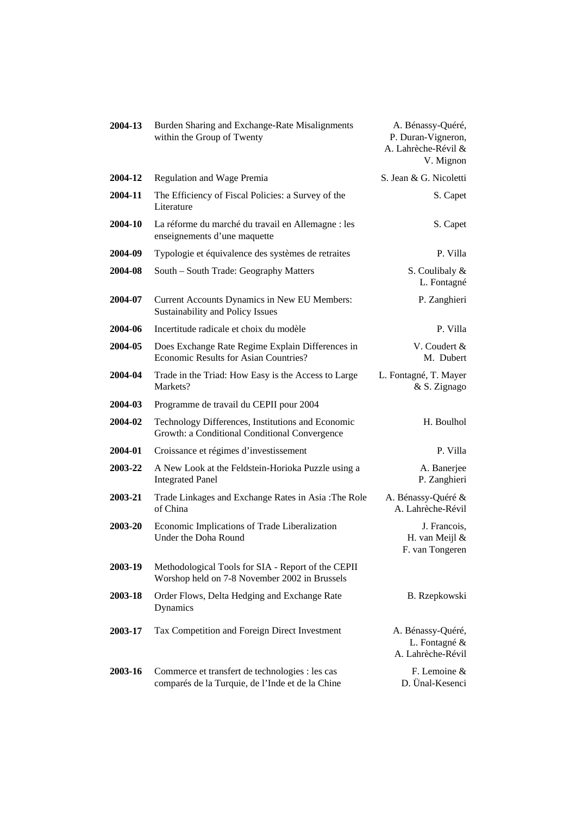| 2004-13 | Burden Sharing and Exchange-Rate Misalignments<br>within the Group of Twenty                        | A. Bénassy-Quéré,<br>P. Duran-Vigneron,<br>A. Lahrèche-Révil &<br>V. Mignon |
|---------|-----------------------------------------------------------------------------------------------------|-----------------------------------------------------------------------------|
| 2004-12 | Regulation and Wage Premia                                                                          | S. Jean & G. Nicoletti                                                      |
| 2004-11 | The Efficiency of Fiscal Policies: a Survey of the<br>Literature                                    | S. Capet                                                                    |
| 2004-10 | La réforme du marché du travail en Allemagne : les<br>enseignements d'une maquette                  | S. Capet                                                                    |
| 2004-09 | Typologie et équivalence des systèmes de retraites                                                  | P. Villa                                                                    |
| 2004-08 | South – South Trade: Geography Matters                                                              | S. Coulibaly &<br>L. Fontagné                                               |
| 2004-07 | Current Accounts Dynamics in New EU Members:<br>Sustainability and Policy Issues                    | P. Zanghieri                                                                |
| 2004-06 | Incertitude radicale et choix du modèle                                                             | P. Villa                                                                    |
| 2004-05 | Does Exchange Rate Regime Explain Differences in<br>Economic Results for Asian Countries?           | V. Coudert &<br>M. Dubert                                                   |
| 2004-04 | Trade in the Triad: How Easy is the Access to Large<br>Markets?                                     | L. Fontagné, T. Mayer<br>& S. Zignago                                       |
| 2004-03 | Programme de travail du CEPII pour 2004                                                             |                                                                             |
| 2004-02 | Technology Differences, Institutions and Economic<br>Growth: a Conditional Conditional Convergence  | H. Boulhol                                                                  |
| 2004-01 | Croissance et régimes d'investissement                                                              | P. Villa                                                                    |
| 2003-22 | A New Look at the Feldstein-Horioka Puzzle using a<br><b>Integrated Panel</b>                       | A. Banerjee<br>P. Zanghieri                                                 |
| 2003-21 | Trade Linkages and Exchange Rates in Asia : The Role<br>of China                                    | A. Bénassy-Quéré &<br>A. Lahrèche-Révil                                     |
| 2003-20 | Economic Implications of Trade Liberalization<br>Under the Doha Round                               | J. Francois,<br>H. van Meijl &<br>F. van Tongeren                           |
| 2003-19 | Methodological Tools for SIA - Report of the CEPII<br>Worshop held on 7-8 November 2002 in Brussels |                                                                             |
| 2003-18 | Order Flows, Delta Hedging and Exchange Rate<br>Dynamics                                            | B. Rzepkowski                                                               |
| 2003-17 | Tax Competition and Foreign Direct Investment                                                       | A. Bénassy-Quéré,<br>L. Fontagné &<br>A. Lahrèche-Révil                     |
| 2003-16 | Commerce et transfert de technologies : les cas<br>comparés de la Turquie, de l'Inde et de la Chine | F. Lemoine $&$<br>D. Ünal-Kesenci                                           |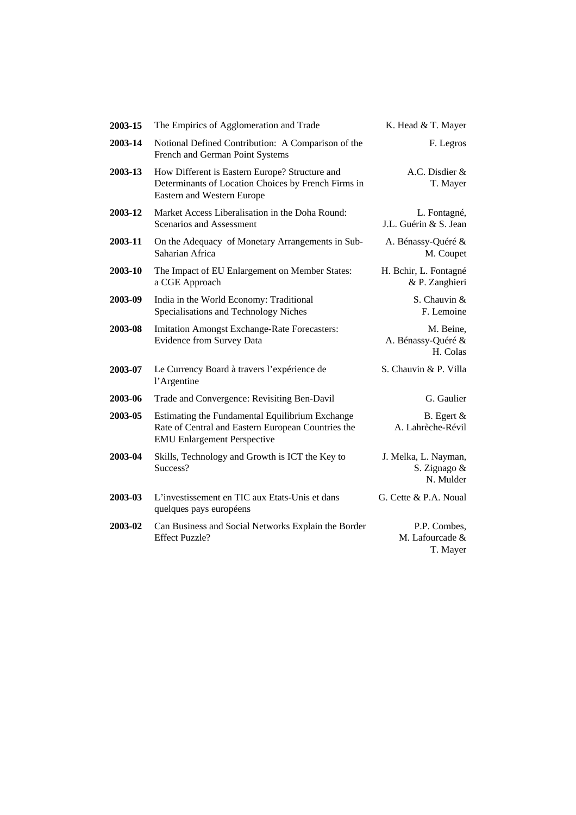| 2003-15 | The Empirics of Agglomeration and Trade                                                                                                     | K. Head & T. Mayer                                |
|---------|---------------------------------------------------------------------------------------------------------------------------------------------|---------------------------------------------------|
| 2003-14 | Notional Defined Contribution: A Comparison of the<br>French and German Point Systems                                                       | F. Legros                                         |
| 2003-13 | How Different is Eastern Europe? Structure and<br>Determinants of Location Choices by French Firms in<br>Eastern and Western Europe         | A.C. Disdier &<br>T. Mayer                        |
| 2003-12 | Market Access Liberalisation in the Doha Round:<br>Scenarios and Assessment                                                                 | L. Fontagné,<br>J.L. Guérin & S. Jean             |
| 2003-11 | On the Adequacy of Monetary Arrangements in Sub-<br>Saharian Africa                                                                         | A. Bénassy-Quéré &<br>M. Coupet                   |
| 2003-10 | The Impact of EU Enlargement on Member States:<br>a CGE Approach                                                                            | H. Bchir, L. Fontagné<br>& P. Zanghieri           |
| 2003-09 | India in the World Economy: Traditional<br>Specialisations and Technology Niches                                                            | S. Chauvin &<br>F. Lemoine                        |
| 2003-08 | Imitation Amongst Exchange-Rate Forecasters:<br><b>Evidence from Survey Data</b>                                                            | M. Beine,<br>A. Bénassy-Quéré &<br>H. Colas       |
| 2003-07 | Le Currency Board à travers l'expérience de<br>l'Argentine                                                                                  | S. Chauvin & P. Villa                             |
| 2003-06 | Trade and Convergence: Revisiting Ben-Davil                                                                                                 | G. Gaulier                                        |
| 2003-05 | Estimating the Fundamental Equilibrium Exchange<br>Rate of Central and Eastern European Countries the<br><b>EMU Enlargement Perspective</b> | B. Egert $\&$<br>A. Lahrèche-Révil                |
| 2003-04 | Skills, Technology and Growth is ICT the Key to<br>Success?                                                                                 | J. Melka, L. Nayman,<br>S. Zignago &<br>N. Mulder |
| 2003-03 | L'investissement en TIC aux Etats-Unis et dans<br>quelques pays européens                                                                   | G. Cette & P.A. Noual                             |
| 2003-02 | Can Business and Social Networks Explain the Border<br><b>Effect Puzzle?</b>                                                                | P.P. Combes,<br>M. Lafourcade &<br>T. Mayer       |